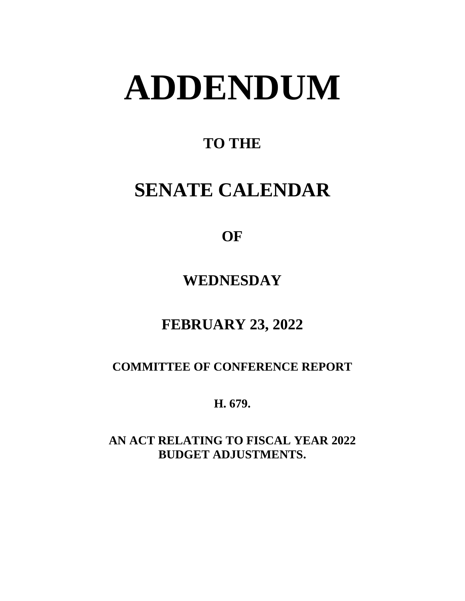# **ADDENDUM**

# **TO THE**

# **SENATE CALENDAR**

# **OF**

# **WEDNESDAY**

# **FEBRUARY 23, 2022**

### **COMMITTEE OF CONFERENCE REPORT**

**H. 679.**

**AN ACT RELATING TO FISCAL YEAR 2022 BUDGET ADJUSTMENTS.**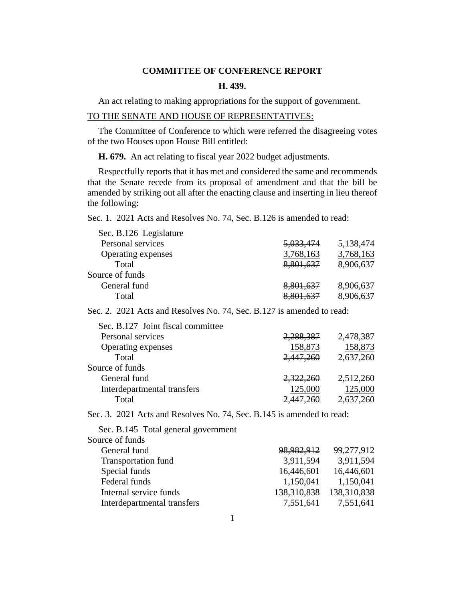#### **COMMITTEE OF CONFERENCE REPORT**

#### **H. 439.**

An act relating to making appropriations for the support of government.

#### TO THE SENATE AND HOUSE OF REPRESENTATIVES:

The Committee of Conference to which were referred the disagreeing votes of the two Houses upon House Bill entitled:

**H. 679.** An act relating to fiscal year 2022 budget adjustments.

Respectfully reports that it has met and considered the same and recommends that the Senate recede from its proposal of amendment and that the bill be amended by striking out all after the enacting clause and inserting in lieu thereof the following:

Sec. 1. 2021 Acts and Resolves No. 74, Sec. B.126 is amended to read:

| <del>5,033,474</del> | 5,138,474 |
|----------------------|-----------|
| 3,768,163            | 3,768,163 |
| 8,801,637            | 8,906,637 |
|                      |           |
| <del>8,801,637</del> | 8,906,637 |
|                      | 8,906,637 |
|                      |           |

Sec. 2. 2021 Acts and Resolves No. 74, Sec. B.127 is amended to read:

| Sec. B.127 Joint fiscal committee |           |           |
|-----------------------------------|-----------|-----------|
| Personal services                 | 2,288,387 | 2,478,387 |
| Operating expenses                | 158,873   | 158,873   |
| Total                             | 2,447,260 | 2,637,260 |
| Source of funds                   |           |           |
| General fund                      | 2,322,260 | 2,512,260 |
| Interdepartmental transfers       | 125,000   | 125,000   |
| Total                             | 2,447,260 | 2,637,260 |
|                                   |           |           |

Sec. 3. 2021 Acts and Resolves No. 74, Sec. B.145 is amended to read:

| 98,982,912  | 99,277,912  |
|-------------|-------------|
| 3,911,594   | 3,911,594   |
| 16,446,601  | 16,446,601  |
| 1,150,041   | 1,150,041   |
| 138,310,838 | 138,310,838 |
| 7,551,641   | 7,551,641   |
|             |             |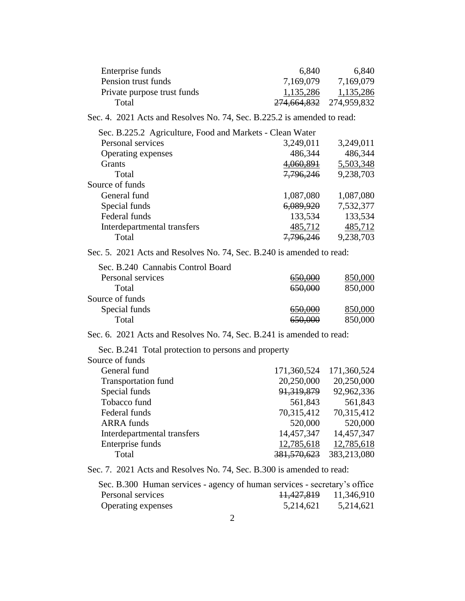| Enterprise funds<br>Pension trust funds                                   | 6,840<br>7,169,079          | 6,840<br>7,169,079        |
|---------------------------------------------------------------------------|-----------------------------|---------------------------|
| Private purpose trust funds                                               | 1,135,286                   | 1,135,286                 |
| Total                                                                     | <del>274,664,832</del>      | 274,959,832               |
| Sec. 4. 2021 Acts and Resolves No. 74, Sec. B.225.2 is amended to read:   |                             |                           |
| Sec. B.225.2 Agriculture, Food and Markets - Clean Water                  |                             |                           |
| Personal services                                                         | 3,249,011                   | 3,249,011                 |
| Operating expenses                                                        | 486,344                     | 486,344                   |
| Grants                                                                    | 4,060,891                   | 5,503,348                 |
| Total                                                                     | <del>7,796,246</del>        | 9,238,703                 |
| Source of funds                                                           |                             |                           |
| General fund                                                              | 1,087,080                   | 1,087,080                 |
| Special funds                                                             | <del>6,089,920</del>        | 7,532,377                 |
| Federal funds                                                             | 133,534                     | 133,534                   |
| Interdepartmental transfers                                               | 485,712                     | 485,712                   |
| Total                                                                     | <del>7,796,246</del>        | 9,238,703                 |
| Sec. 5. 2021 Acts and Resolves No. 74, Sec. B.240 is amended to read:     |                             |                           |
| Sec. B.240 Cannabis Control Board                                         |                             |                           |
| Personal services                                                         | 650,000                     | 850,000                   |
| Total                                                                     | 650,000                     | 850,000                   |
| Source of funds                                                           |                             |                           |
| Special funds                                                             | 650,000                     | 850,000                   |
| Total                                                                     | 650,000                     | 850,000                   |
| Sec. 6. 2021 Acts and Resolves No. 74, Sec. B.241 is amended to read:     |                             |                           |
| Sec. B.241 Total protection to persons and property                       |                             |                           |
| Source of funds<br>General fund                                           | 171,360,524                 |                           |
|                                                                           | 20,250,000                  | 171,360,524               |
| <b>Transportation fund</b>                                                |                             | 20,250,000                |
| Special funds                                                             | 91,319,879                  | 92,962,336                |
| Tobacco fund                                                              | 561,843                     | 561,843                   |
| Federal funds                                                             | 70,315,412                  | 70,315,412                |
| <b>ARRA</b> funds                                                         | 520,000                     | 520,000                   |
| Interdepartmental transfers                                               | 14,457,347                  | 14,457,347                |
| Enterprise funds<br>Total                                                 | 12,785,618<br>381, 570, 623 | 12,785,618<br>383,213,080 |
|                                                                           |                             |                           |
| Sec. 7. 2021 Acts and Resolves No. 74, Sec. B.300 is amended to read:     |                             |                           |
| Sec. B.300 Human services - agency of human services - secretary's office |                             |                           |

| sec. B.300 Human services - agency of numan services - secretary s office |                       |           |
|---------------------------------------------------------------------------|-----------------------|-----------|
| Personal services                                                         | 11,427,819 11,346,910 |           |
| Operating expenses                                                        | 5,214,621             | 5,214,621 |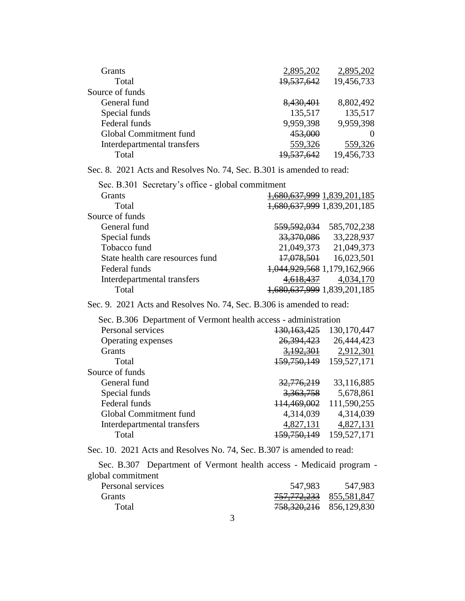| Grants                      | 2,895,202  | 2,895,202  |
|-----------------------------|------------|------------|
| Total                       | 19,537,642 | 19,456,733 |
| Source of funds             |            |            |
| General fund                | 8,430,401  | 8,802,492  |
| Special funds               | 135,517    | 135,517    |
| Federal funds               | 9,959,398  | 9,959,398  |
| Global Commitment fund      | 453,000    |            |
| Interdepartmental transfers | 559,326    | 559,326    |
| Total                       | 19,537,642 | 19,456,733 |

Sec. 8. 2021 Acts and Resolves No. 74, Sec. B.301 is amended to read:

| Sec. B.301 Secretary's office - global commitment |                        |                                |
|---------------------------------------------------|------------------------|--------------------------------|
| <b>Grants</b>                                     |                        | 1,680,637,999 1,839,201,185    |
| Total                                             |                        | 1,680,637,999 1,839,201,185    |
| Source of funds                                   |                        |                                |
| General fund                                      | <del>559,592,034</del> | 585,702,238                    |
| Special funds                                     | 33,370,086             | 33,228,937                     |
| Tobacco fund                                      | 21,049,373             | 21,049,373                     |
| State health care resources fund                  | 17,078,501             | 16,023,501                     |
| Federal funds                                     |                        | 1,044,929,568 1,179,162,966    |
| Interdepartmental transfers                       |                        | 4,034,170                      |
| Total                                             |                        | 680, 637, 999 1, 839, 201, 185 |
|                                                   |                        |                                |

#### Sec. 9. 2021 Acts and Resolves No. 74, Sec. B.306 is amended to read:

| Sec. B.306 Department of Vermont health access - administration |                        |               |
|-----------------------------------------------------------------|------------------------|---------------|
| Personal services                                               | <del>130,163,425</del> | 130, 170, 447 |
| Operating expenses                                              | 26,394,423             | 26,444,423    |
| <b>Grants</b>                                                   | 3,192,301              | 2,912,301     |
| Total                                                           | 159,750,149            | 159,527,171   |
| Source of funds                                                 |                        |               |
| General fund                                                    | 32.776.219             | 33,116,885    |
| Special funds                                                   | 3,363,758              | 5,678,861     |
| Federal funds                                                   | 114,469,002            | 111,590,255   |
| Global Commitment fund                                          | 4,314,039              | 4,314,039     |
| Interdepartmental transfers                                     | 4,827,131              | 4,827,131     |
| Total                                                           | 159,750,149            | 159,527,171   |

Sec. 10. 2021 Acts and Resolves No. 74, Sec. B.307 is amended to read:

Sec. B.307 Department of Vermont health access - Medicaid program global commitment Personal services 547,983 547,983

| T CIBUNGI BU VICOS | <u>JTI.JOJ</u>                         | JT I JOJ |
|--------------------|----------------------------------------|----------|
| <b>Grants</b>      | <del>757, 772, 233</del> 855, 581, 847 |          |
| Total              | 758,320,216 856,129,830                |          |
|                    |                                        |          |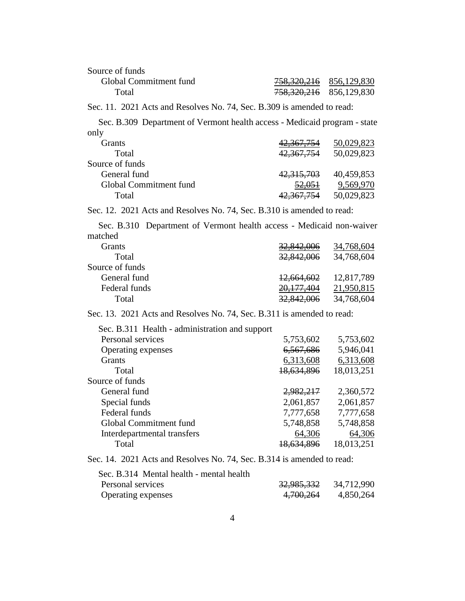| Source of funds                                                           |                                    |                       |
|---------------------------------------------------------------------------|------------------------------------|-----------------------|
| Global Commitment fund                                                    | <del>758,320,216</del> 856,129,830 |                       |
| Total                                                                     | <del>758,320,216</del>             | 856,129,830           |
| Sec. 11. 2021 Acts and Resolves No. 74, Sec. B.309 is amended to read:    |                                    |                       |
| Sec. B.309 Department of Vermont health access - Medicaid program - state |                                    |                       |
| only                                                                      |                                    |                       |
| Grants                                                                    | <del>42,367,754</del>              | 50,029,823            |
| Total                                                                     | <del>42,367,754</del>              | 50,029,823            |
| Source of funds                                                           |                                    |                       |
| General fund                                                              | 42,315,703                         | 40,459,853            |
| Global Commitment fund                                                    |                                    | 52,051 9,569,970      |
| Total                                                                     | 42,367,754                         | 50,029,823            |
| Sec. 12. 2021 Acts and Resolves No. 74, Sec. B.310 is amended to read:    |                                    |                       |
| Sec. B.310 Department of Vermont health access - Medicaid non-waiver      |                                    |                       |
| matched                                                                   |                                    |                       |
| Grants                                                                    | <del>32,842,006</del>              | 34,768,604            |
| Total                                                                     | <del>32,842,006</del>              | 34,768,604            |
| Source of funds                                                           |                                    |                       |
| General fund                                                              |                                    | 12,664,602 12,817,789 |
| Federal funds                                                             | <del>20,177,404</del>              | 21,950,815            |
| Total                                                                     | <del>32,842,006</del>              | 34,768,604            |
| Sec. 13. 2021 Acts and Resolves No. 74, Sec. B.311 is amended to read:    |                                    |                       |
| Sec. B.311 Health - administration and support                            |                                    |                       |
| Personal services                                                         | 5,753,602                          | 5,753,602             |
| Operating expenses                                                        | <del>6,567,686</del>               | 5,946,041             |
| Grants                                                                    | 6,313,608                          | 6,313,608             |
| Total                                                                     | <del>18,634,896</del>              | 18,013,251            |
| Source of funds                                                           |                                    |                       |
| General fund                                                              | 2,982,217                          | 2,360,572             |
| Special funds                                                             | 2,061,857                          | 2,061,857             |
| Federal funds                                                             | 7,777,658                          | 7,777,658             |
| Global Commitment fund                                                    | 5,748,858                          | 5,748,858             |
| Interdepartmental transfers                                               | 64,306                             | <u>64,306</u>         |
| Total                                                                     | <del>18,634,896</del>              | 18,013,251            |
| Sec. 14. 2021 Acts and Resolves No. 74, Sec. B.314 is amended to read:    |                                    |                       |

| Sec. B.314 Mental health - mental health |                       |            |
|------------------------------------------|-----------------------|------------|
| Personal services                        | <del>32,985,332</del> | 34,712,990 |
| Operating expenses                       | 4,700,264             | 4,850,264  |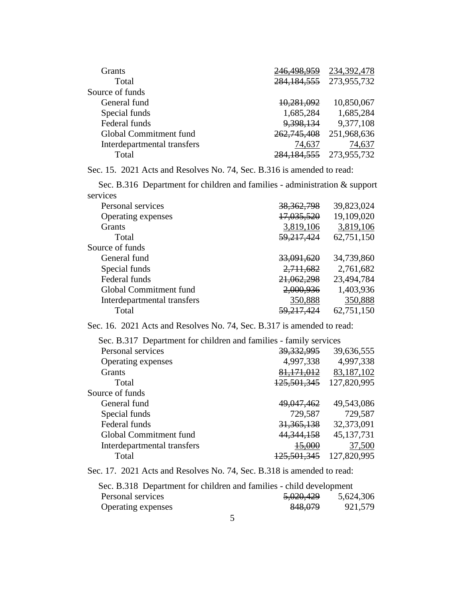| <b>Grants</b>               | 246,498,959   | 234, 392, 478 |
|-----------------------------|---------------|---------------|
| Total                       | 284, 184, 555 | 273,955,732   |
| Source of funds             |               |               |
| General fund                | 10,281,092    | 10,850,067    |
| Special funds               | 1,685,284     | 1,685,284     |
| Federal funds               | 9,398,134     | 9,377,108     |
| Global Commitment fund      | 262,745,408   | 251,968,636   |
| Interdepartmental transfers | 74,637        | 74,637        |
| Total                       | 284, 184, 555 | 273,955,732   |

Sec. 15. 2021 Acts and Resolves No. 74, Sec. B.316 is amended to read:

Sec. B.316 Department for children and families - administration & support services

| Personal services           | 38, 362, 798          | 39,823,024 |
|-----------------------------|-----------------------|------------|
| Operating expenses          | 17,035,520            | 19,109,020 |
| <b>Grants</b>               | 3,819,106             | 3,819,106  |
| Total                       | 59,217,424            | 62,751,150 |
| Source of funds             |                       |            |
| General fund                | <del>33,091,620</del> | 34,739,860 |
| Special funds               | 2,711,682             | 2,761,682  |
| Federal funds               | 21,062,298            | 23,494,784 |
| Global Commitment fund      | 2,000,936             | 1,403,936  |
| Interdepartmental transfers | 350,888               | 350,888    |
| Total                       | <del>59,217,424</del> | 62,751,150 |

Sec. 16. 2021 Acts and Resolves No. 74, Sec. B.317 is amended to read:

| Sec. B.317 Department for children and families - family services |                        |              |
|-------------------------------------------------------------------|------------------------|--------------|
| Personal services                                                 | 39, 332, 995           | 39,636,555   |
| Operating expenses                                                | 4,997,338              | 4,997,338    |
| Grants                                                            | 81, 171, 012           | 83,187,102   |
| Total                                                             | 125,501,345            | 127,820,995  |
| Source of funds                                                   |                        |              |
| General fund                                                      | 49,047,462             | 49,543,086   |
| Special funds                                                     | 729,587                | 729,587      |
| Federal funds                                                     | 31, 365, 138           | 32,373,091   |
| Global Commitment fund                                            | 44, 344, 158           | 45, 137, 731 |
| Interdepartmental transfers                                       | <del>15.000</del>      | 37,500       |
| Total                                                             | <del>125.501.345</del> | 127,820,995  |

Sec. 17. 2021 Acts and Resolves No. 74, Sec. B.318 is amended to read:

| Sec. B.318 Department for children and families - child development |                      |           |
|---------------------------------------------------------------------|----------------------|-----------|
| Personal services                                                   | <del>5,020,429</del> | 5,624,306 |
| Operating expenses                                                  | 848,079              | 921,579   |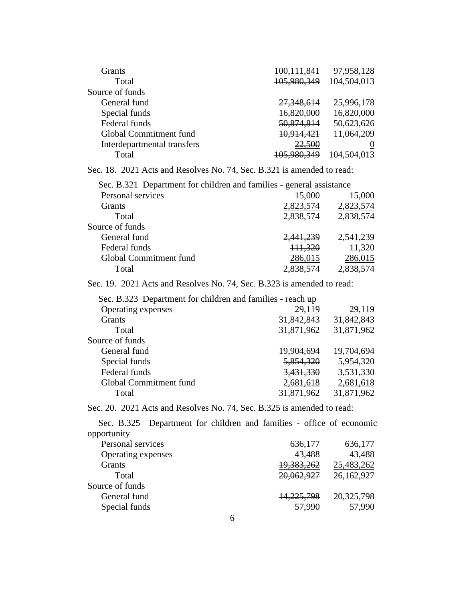| <b>Grants</b>               | <del>100,111,841</del> | 97,958,128  |
|-----------------------------|------------------------|-------------|
| Total                       | 105,980,349            | 104,504,013 |
| Source of funds             |                        |             |
| General fund                | 27,348,614             | 25,996,178  |
| Special funds               | 16,820,000             | 16,820,000  |
| Federal funds               | 50,874,814             | 50,623,626  |
| Global Commitment fund      | 10,914,421             | 11,064,209  |
| Interdepartmental transfers | 22,500                 |             |
| Total                       | <del>105,980,349</del> | 104,504,013 |

Sec. 18. 2021 Acts and Resolves No. 74, Sec. B.321 is amended to read:

| Sec. B.321 Department for children and families - general assistance |           |           |
|----------------------------------------------------------------------|-----------|-----------|
| Personal services                                                    | 15,000    | 15,000    |
| Grants                                                               | 2,823,574 | 2,823,574 |
| Total                                                                | 2,838,574 | 2,838,574 |
| Source of funds                                                      |           |           |
| General fund                                                         | 2,441,239 | 2,541,239 |
| Federal funds                                                        | 111,320   | 11,320    |
| Global Commitment fund                                               | 286,015   | 286,015   |
| Total                                                                | 2,838,574 | 2,838,574 |

Sec. 19. 2021 Acts and Resolves No. 74, Sec. B.323 is amended to read:

| Sec. B.323 Department for children and families - reach up |                   |            |
|------------------------------------------------------------|-------------------|------------|
| Operating expenses                                         | 29,119            | 29,119     |
| <b>Grants</b>                                              | 31,842,843        | 31,842,843 |
| Total                                                      | 31,871,962        | 31,871,962 |
| Source of funds                                            |                   |            |
| General fund                                               | <u>19,904,694</u> | 19,704,694 |
| Special funds                                              | 5,854,320         | 5,954,320  |
| Federal funds                                              | 3,431,330         | 3,531,330  |
| Global Commitment fund                                     | 2,681,618         | 2,681,618  |
| Total                                                      | 31,871,962        | 31,871,962 |
|                                                            |                   |            |

Sec. 20. 2021 Acts and Resolves No. 74, Sec. B.325 is amended to read:

Sec. B.325 Department for children and families - office of economic opportunity

| 636,177               | 636,177    |
|-----------------------|------------|
| 43,488                | 43,488     |
| 19,383,262            | 25,483,262 |
| 20,062,927            | 26,162,927 |
|                       |            |
| <del>14,225,798</del> | 20,325,798 |
| 57,990                | 57,990     |
|                       |            |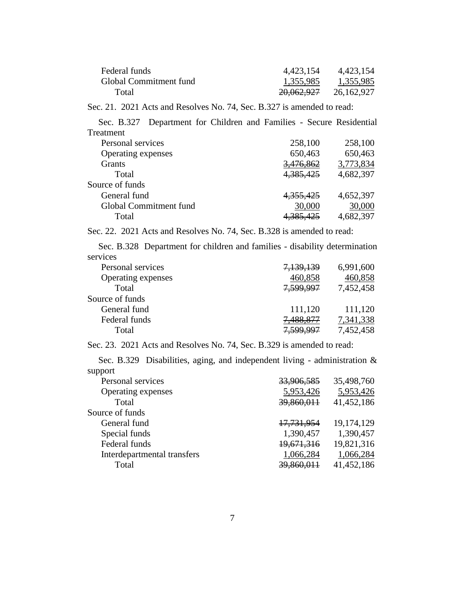| Federal funds          | 4,423,154             | 4,423,154  |
|------------------------|-----------------------|------------|
| Global Commitment fund | 1,355,985             | 1,355,985  |
| Total                  | <del>20,062,927</del> | 26,162,927 |

Sec. 21. 2021 Acts and Resolves No. 74, Sec. B.327 is amended to read:

Sec. B.327 Department for Children and Families - Secure Residential Treatment

| Personal services      | 258,100   | 258,100   |
|------------------------|-----------|-----------|
| Operating expenses     | 650,463   | 650,463   |
| <b>Grants</b>          | 3,476,862 | 3,773,834 |
| Total                  | 4,385,425 | 4,682,397 |
| Source of funds        |           |           |
| General fund           | 4,355,425 | 4,652,397 |
| Global Commitment fund | 30,000    | 30,000    |
| Total                  |           | 4,682,397 |

Sec. 22. 2021 Acts and Resolves No. 74, Sec. B.328 is amended to read:

Sec. B.328 Department for children and families - disability determination services

| Personal services  | <del>7,139,139</del> | 6,991,600 |
|--------------------|----------------------|-----------|
| Operating expenses | 460,858              | 460,858   |
| Total              | 7,599,997            | 7,452,458 |
| Source of funds    |                      |           |
| General fund       | 111,120              | 111,120   |
| Federal funds      | <del>7,488,877</del> | 7,341,338 |
| Total              | <del>7.599.997</del> | 7,452,458 |

Sec. 23. 2021 Acts and Resolves No. 74, Sec. B.329 is amended to read:

Sec. B.329 Disabilities, aging, and independent living - administration & support

| Personal services           | 33,906,585            | 35,498,760 |
|-----------------------------|-----------------------|------------|
| Operating expenses          | 5,953,426             | 5,953,426  |
| Total                       | 39,860,011            | 41,452,186 |
| Source of funds             |                       |            |
| General fund                | <del>17,731,954</del> | 19,174,129 |
| Special funds               | 1,390,457             | 1,390,457  |
| Federal funds               | 19,671,316            | 19,821,316 |
| Interdepartmental transfers | 1,066,284             | 1,066,284  |
| Total                       | 39,860,011            | 41,452,186 |
|                             |                       |            |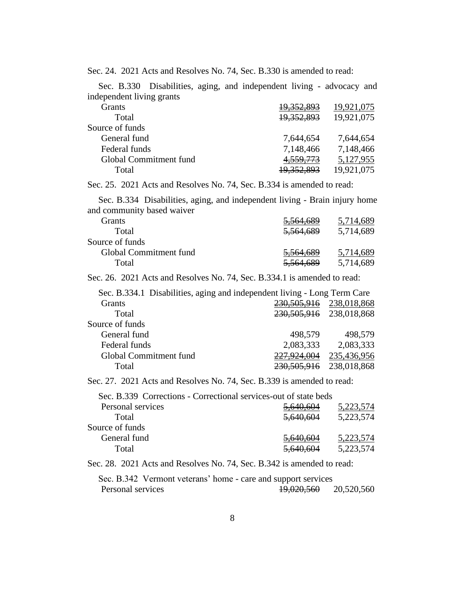Sec. 24. 2021 Acts and Resolves No. 74, Sec. B.330 is amended to read:

| 19,921,075 |
|------------|
| 19,921,075 |
|            |
| 7,644,654  |
| 7,148,466  |
| 5,127,955  |
| 19,921,075 |
|            |

Sec. 25. 2021 Acts and Resolves No. 74, Sec. B.334 is amended to read:

Sec. B.334 Disabilities, aging, and independent living - Brain injury home and community based waiver

| Grants                 | <del>5,564,689</del> | 5.714.689 |
|------------------------|----------------------|-----------|
| Total                  | 5,564,689            | 5,714,689 |
| Source of funds        |                      |           |
| Global Commitment fund | 5,564,689            | 5,714,689 |
| Total                  | 5,564,689            | 5,714,689 |

Sec. 26. 2021 Acts and Resolves No. 74, Sec. B.334.1 is amended to read:

| Sec. B.334.1 Disabilities, aging and independent living - Long Term Care |                             |             |
|--------------------------------------------------------------------------|-----------------------------|-------------|
| <b>Grants</b>                                                            | 230, 505, 916               | 238,018,868 |
| Total                                                                    | 230, 505, 916 238, 018, 868 |             |
| Source of funds                                                          |                             |             |
| General fund                                                             | 498,579                     | 498,579     |
| Federal funds                                                            | 2,083,333                   | 2,083,333   |
| Global Commitment fund                                                   | 227,924,004                 | 235,436,956 |
| Total                                                                    | 230,505,916                 | 238,018,868 |
|                                                                          |                             |             |

Sec. 27. 2021 Acts and Resolves No. 74, Sec. B.339 is amended to read:

| Sec. B.339 Corrections - Correctional services-out of state beds |           |           |
|------------------------------------------------------------------|-----------|-----------|
| Personal services                                                | 5,640,604 | 5,223,574 |
| Total                                                            | 5,640,604 | 5,223,574 |
| Source of funds                                                  |           |           |
| General fund                                                     | 5,640,604 | 5,223,574 |
| Total                                                            | 5,640,604 | 5,223,574 |
|                                                                  |           |           |

Sec. 28. 2021 Acts and Resolves No. 74, Sec. B.342 is amended to read:

| Sec. B.342 Vermont veterans' home - care and support services |  |  |            |            |
|---------------------------------------------------------------|--|--|------------|------------|
| Personal services                                             |  |  | 19,020,560 | 20,520,560 |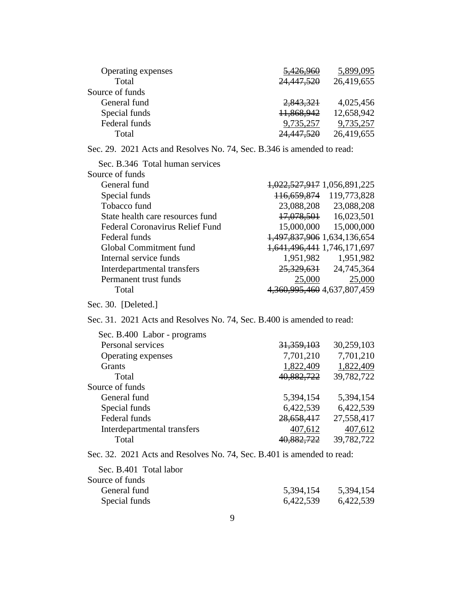| Operating expenses | 5,426,960  | 5,899,095  |
|--------------------|------------|------------|
| Total              | 24,447,520 | 26,419,655 |
| Source of funds    |            |            |
| General fund       | 2,843,321  | 4,025,456  |
| Special funds      | 11,868,942 | 12,658,942 |
| Federal funds      | 9,735,257  | 9,735,257  |
| Total              | 24,447,520 | 26,419,655 |
|                    |            |            |

Sec. 29. 2021 Acts and Resolves No. 74, Sec. B.346 is amended to read:

| Sec. B.346 Total human services  |                                     |
|----------------------------------|-------------------------------------|
| Source of funds                  |                                     |
| General fund                     | 1,022,527,917 1,056,891,225         |
| Special funds                    | 119,773,828<br>116.659.874          |
| Tobacco fund                     | 23,088,208<br>23,088,208            |
| State health care resources fund | <del>17,078,501</del><br>16,023,501 |
| Federal Coronavirus Relief Fund  | 15,000,000<br>15,000,000            |
| Federal funds                    | 1,497,837,906 1,634,136,654         |
| Global Commitment fund           | 1,641,496,441 1,746,171,697         |
| Internal service funds           | 1,951,982<br>1,951,982              |
| Interdepartmental transfers      | <del>25,329,631</del><br>24,745,364 |
| Permanent trust funds            | 25,000<br>25,000                    |
| Total                            | 4,360,995,460 4,637,807,459         |
|                                  |                                     |

Sec. 30. [Deleted.]

#### Sec. 31. 2021 Acts and Resolves No. 74, Sec. B.400 is amended to read:

| 31, 359, 103 | 30,259,103 |
|--------------|------------|
| 7,701,210    | 7,701,210  |
| 1,822,409    | 1,822,409  |
| 40,882,722   | 39,782,722 |
|              |            |
| 5,394,154    | 5,394,154  |
| 6,422,539    | 6,422,539  |
| 28,658,417   | 27,558,417 |
| 407,612      | 407,612    |
| 40,882,722   | 39,782,722 |
|              |            |

Sec. 32. 2021 Acts and Resolves No. 74, Sec. B.401 is amended to read:

| 5,394,154 | 5,394,154 |
|-----------|-----------|
| 6,422,539 | 6,422,539 |
|           |           |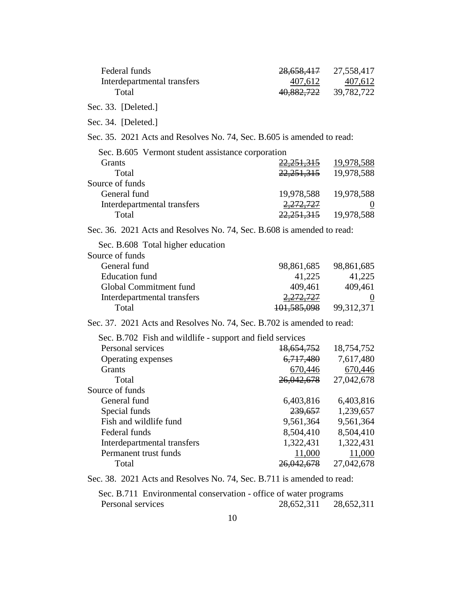| Federal funds                                                          | <del>28,658,417</del>  | 27,558,417 |
|------------------------------------------------------------------------|------------------------|------------|
| Interdepartmental transfers                                            | 407,612                | 407,612    |
| Total                                                                  | <del>40,882,722</del>  | 39,782,722 |
| Sec. 33. [Deleted.]                                                    |                        |            |
| Sec. 34. [Deleted.]                                                    |                        |            |
| Sec. 35. 2021 Acts and Resolves No. 74, Sec. B.605 is amended to read: |                        |            |
| Sec. B.605 Vermont student assistance corporation                      |                        |            |
| Grants                                                                 | <del>22,251,315</del>  | 19,978,588 |
| Total                                                                  | 22,251,315             | 19,978,588 |
| Source of funds                                                        |                        |            |
| General fund                                                           | 19,978,588             | 19,978,588 |
| Interdepartmental transfers                                            | <del>2,272,727</del>   |            |
| Total                                                                  | <del>22,251,315</del>  | 19,978,588 |
| Sec. 36. 2021 Acts and Resolves No. 74, Sec. B.608 is amended to read: |                        |            |
| Sec. B.608 Total higher education                                      |                        |            |
| Source of funds                                                        |                        |            |
| General fund                                                           | 98,861,685             | 98,861,685 |
| <b>Education</b> fund                                                  | 41,225                 | 41,225     |
| Global Commitment fund                                                 | 409,461                | 409,461    |
| Interdepartmental transfers                                            | <del>2,272,727</del>   |            |
| Total                                                                  | <del>101,585,098</del> | 99,312,371 |
| Sec. 37. 2021 Acts and Resolves No. 74, Sec. B.702 is amended to read: |                        |            |
| Sec. B.702 Fish and wildlife - support and field services              |                        |            |
| Personal services                                                      | <del>18,654,752</del>  | 18,754,752 |
| Operating expenses                                                     | <del>6,717,480</del>   | 7,617,480  |
| Grants                                                                 | 670,446                | 670,446    |
| Total                                                                  | 26,042,678             | 27,042,678 |
| Source of funds                                                        |                        |            |
| General fund                                                           | 6,403,816              | 6,403,816  |
| Special funds                                                          | 239,657                | 1,239,657  |
| Fish and wildlife fund                                                 | 9,561,364              | 9,561,364  |
| Federal funds                                                          | 8,504,410              | 8,504,410  |
| Interdepartmental transfers                                            | 1,322,431              | 1,322,431  |
| Permanent trust funds                                                  | 11,000                 | 11,000     |
| Total                                                                  | 26,042,678             | 27,042,678 |
|                                                                        |                        |            |

Sec. 38. 2021 Acts and Resolves No. 74, Sec. B.711 is amended to read:

Sec. B.711 Environmental conservation - office of water programs Personal services 28,652,311 28,652,311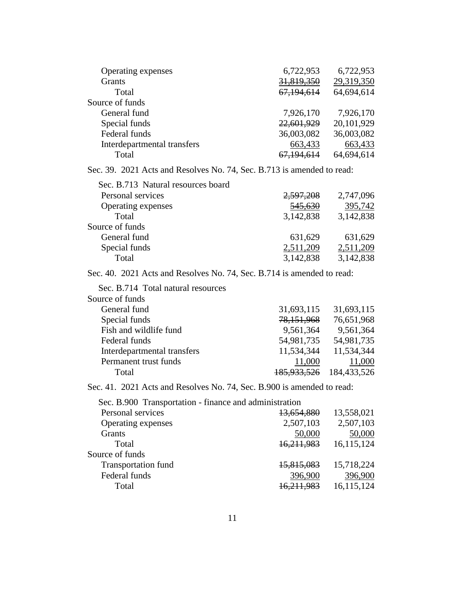| Operating expenses          | 6,722,953  | 6,722,953  |
|-----------------------------|------------|------------|
| Grants                      | 31,819,350 | 29,319,350 |
| Total                       | 67,194,614 | 64,694,614 |
| Source of funds             |            |            |
| General fund                | 7,926,170  | 7,926,170  |
| Special funds               | 22,601,929 | 20,101,929 |
| Federal funds               | 36,003,082 | 36,003,082 |
| Interdepartmental transfers | 663,433    | 663,433    |
| Total                       | 67,194,614 | 64,694,614 |

Sec. 39. 2021 Acts and Resolves No. 74, Sec. B.713 is amended to read:

| Sec. B.713 Natural resources board |           |           |
|------------------------------------|-----------|-----------|
| Personal services                  | 2,597,208 | 2,747,096 |
| Operating expenses                 | 545,630   | 395,742   |
| Total                              | 3,142,838 | 3,142,838 |
| Source of funds                    |           |           |
| General fund                       | 631,629   | 631,629   |
| Special funds                      | 2,511,209 | 2,511,209 |
| Total                              | 3,142,838 | 3,142,838 |

Sec. 40. 2021 Acts and Resolves No. 74, Sec. B.714 is amended to read:

Sec. B.714 Total natural resources

| Source of funds             |                        |             |
|-----------------------------|------------------------|-------------|
| General fund                | 31,693,115             | 31,693,115  |
| Special funds               | 78,151,968             | 76,651,968  |
| Fish and wildlife fund      | 9,561,364              | 9,561,364   |
| Federal funds               | 54,981,735             | 54,981,735  |
| Interdepartmental transfers | 11,534,344             | 11,534,344  |
| Permanent trust funds       | 11,000                 | 11,000      |
| Total                       | <del>185.933.526</del> | 184,433,526 |

Sec. 41. 2021 Acts and Resolves No. 74, Sec. B.900 is amended to read:

Sec. B.900 Transportation - finance and administration Personal services 13,654,880 13,558,021 Operating expenses 2,507,103 2,507,103 Grants 50,000 50,000 50,000 Total 16,211,983 16,115,124 Source of funds Transportation fund 15,815,083 15,718,224 Federal funds 396,900 396,900 396,900 Total 16,211,983 16,115,124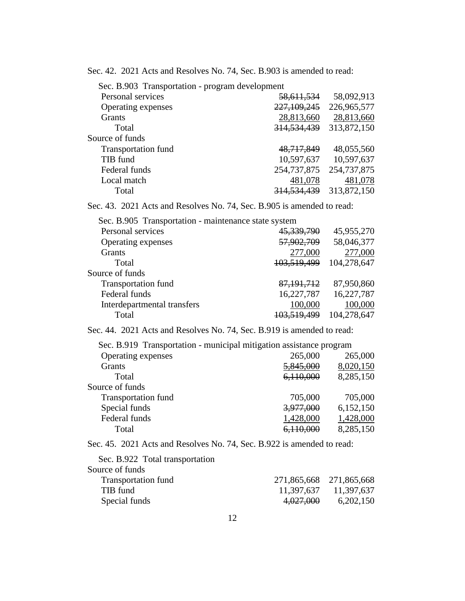Sec. 42. 2021 Acts and Resolves No. 74, Sec. B.903 is amended to read:

| Sec. B.903 Transportation - program development |               |             |  |
|-------------------------------------------------|---------------|-------------|--|
| Personal services                               | 58,611,534    | 58,092,913  |  |
| <b>Operating expenses</b>                       | 227, 109, 245 | 226,965,577 |  |
| <b>Grants</b>                                   | 28,813,660    | 28,813,660  |  |
| Total                                           | 314, 534, 439 | 313,872,150 |  |
| Source of funds                                 |               |             |  |
| <b>Transportation fund</b>                      | 48,717,849    | 48,055,560  |  |
| TIB fund                                        | 10,597,637    | 10,597,637  |  |
| Federal funds                                   | 254,737,875   | 254,737,875 |  |
| Local match                                     | 481,078       | 481,078     |  |
| Total                                           | 314,534,439   | 313,872,150 |  |

Sec. 43. 2021 Acts and Resolves No. 74, Sec. B.905 is amended to read:

Sec. B.905 Transportation - maintenance state system

| Personal services           | 45,339,790             | 45,955,270  |
|-----------------------------|------------------------|-------------|
| Operating expenses          | 57,902,709             | 58,046,377  |
| Grants                      | 277,000                | 277,000     |
| Total                       | 103,519,499            | 104,278,647 |
| Source of funds             |                        |             |
| <b>Transportation fund</b>  | 87, 191, 712           | 87,950,860  |
| Federal funds               | 16,227,787             | 16,227,787  |
| Interdepartmental transfers | 100,000                | 100,000     |
| Total                       | <del>103,519,499</del> | 104,278,647 |

Sec. 44. 2021 Acts and Resolves No. 74, Sec. B.919 is amended to read:

| Sec. B.919 Transportation - municipal mitigation assistance program |           |  |  |
|---------------------------------------------------------------------|-----------|--|--|
| 265,000                                                             | 265,000   |  |  |
| 5,845,000                                                           | 8,020,150 |  |  |
| 6,110,000                                                           | 8,285,150 |  |  |
|                                                                     |           |  |  |
| 705,000                                                             | 705,000   |  |  |
| 3,977,000                                                           | 6,152,150 |  |  |
| 1,428,000                                                           | 1,428,000 |  |  |
| <del>6.110.000</del>                                                | 8,285,150 |  |  |
|                                                                     |           |  |  |

Sec. 45. 2021 Acts and Resolves No. 74, Sec. B.922 is amended to read:

| Sec. B.922 Total transportation |                         |                       |
|---------------------------------|-------------------------|-----------------------|
| Source of funds                 |                         |                       |
| <b>Transportation fund</b>      | 271,865,668 271,865,668 |                       |
| TIB fund                        |                         | 11,397,637 11,397,637 |
| Special funds                   | 4,027,000               | 6,202,150             |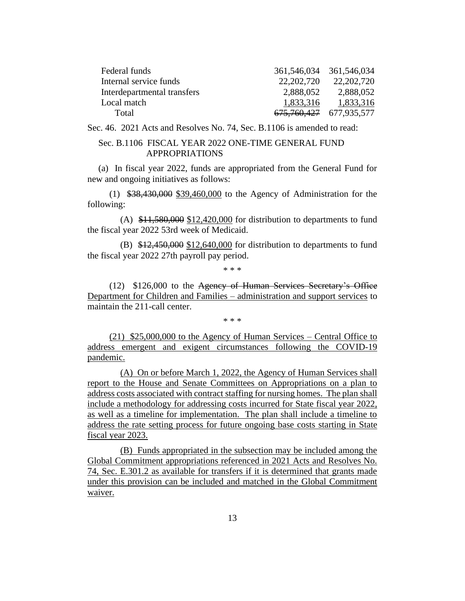| Federal funds               |              | 361,546,034 361,546,034 |
|-----------------------------|--------------|-------------------------|
| Internal service funds      | 22, 202, 720 | 22, 202, 720            |
| Interdepartmental transfers | 2,888,052    | 2,888,052               |
| Local match                 | 1,833,316    | 1,833,316               |
| Total                       |              | 675,760,427 677,935,577 |

Sec. 46. 2021 Acts and Resolves No. 74, Sec. B.1106 is amended to read:

#### Sec. B.1106 FISCAL YEAR 2022 ONE-TIME GENERAL FUND APPROPRIATIONS

(a) In fiscal year 2022, funds are appropriated from the General Fund for new and ongoing initiatives as follows:

(1) \$38,430,000 \$39,460,000 to the Agency of Administration for the following:

(A)  $$11,580,000$   $$12,420,000$  for distribution to departments to fund the fiscal year 2022 53rd week of Medicaid.

(B)  $$12,450,000$   $$12,640,000$  for distribution to departments to fund the fiscal year 2022 27th payroll pay period.

\* \* \*

(12) \$126,000 to the Agency of Human Services Secretary's Office Department for Children and Families – administration and support services to maintain the 211-call center.

\* \* \*

(21) \$25,000,000 to the Agency of Human Services – Central Office to address emergent and exigent circumstances following the COVID-19 pandemic.

(A) On or before March 1, 2022, the Agency of Human Services shall report to the House and Senate Committees on Appropriations on a plan to address costs associated with contract staffing for nursing homes. The plan shall include a methodology for addressing costs incurred for State fiscal year 2022, as well as a timeline for implementation. The plan shall include a timeline to address the rate setting process for future ongoing base costs starting in State fiscal year 2023.

(B) Funds appropriated in the subsection may be included among the Global Commitment appropriations referenced in 2021 Acts and Resolves No. 74, Sec. E.301.2 as available for transfers if it is determined that grants made under this provision can be included and matched in the Global Commitment waiver.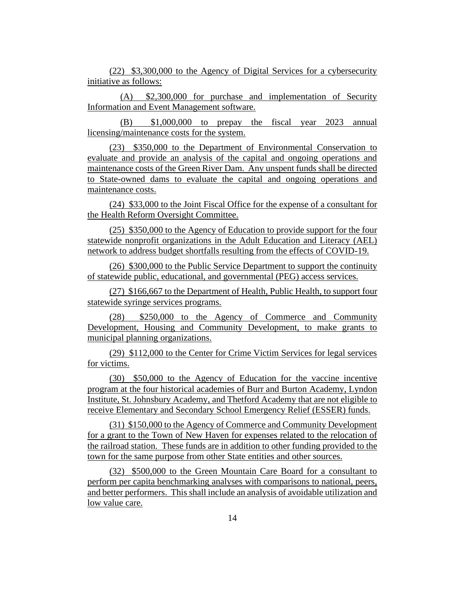(22) \$3,300,000 to the Agency of Digital Services for a cybersecurity initiative as follows:

(A) \$2,300,000 for purchase and implementation of Security Information and Event Management software.

(B) \$1,000,000 to prepay the fiscal year 2023 annual licensing/maintenance costs for the system.

(23) \$350,000 to the Department of Environmental Conservation to evaluate and provide an analysis of the capital and ongoing operations and maintenance costs of the Green River Dam. Any unspent funds shall be directed to State-owned dams to evaluate the capital and ongoing operations and maintenance costs.

(24) \$33,000 to the Joint Fiscal Office for the expense of a consultant for the Health Reform Oversight Committee.

(25) \$350,000 to the Agency of Education to provide support for the four statewide nonprofit organizations in the Adult Education and Literacy (AEL) network to address budget shortfalls resulting from the effects of COVID-19.

(26) \$300,000 to the Public Service Department to support the continuity of statewide public, educational, and governmental (PEG) access services.

(27) \$166,667 to the Department of Health, Public Health, to support four statewide syringe services programs.

(28) \$250,000 to the Agency of Commerce and Community Development, Housing and Community Development, to make grants to municipal planning organizations.

(29) \$112,000 to the Center for Crime Victim Services for legal services for victims.

(30) \$50,000 to the Agency of Education for the vaccine incentive program at the four historical academies of Burr and Burton Academy, Lyndon Institute, St. Johnsbury Academy, and Thetford Academy that are not eligible to receive Elementary and Secondary School Emergency Relief (ESSER) funds.

(31) \$150,000 to the Agency of Commerce and Community Development for a grant to the Town of New Haven for expenses related to the relocation of the railroad station. These funds are in addition to other funding provided to the town for the same purpose from other State entities and other sources.

(32) \$500,000 to the Green Mountain Care Board for a consultant to perform per capita benchmarking analyses with comparisons to national, peers, and better performers. This shall include an analysis of avoidable utilization and low value care.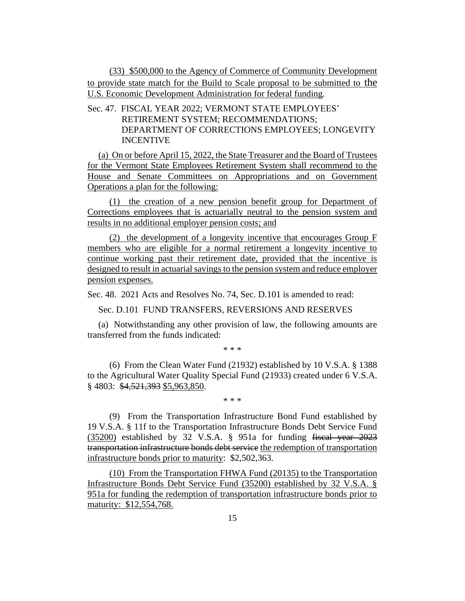(33) \$500,000 to the Agency of Commerce of Community Development to provide state match for the Build to Scale proposal to be submitted to the U.S. Economic Development Administration for federal funding.

Sec. 47. FISCAL YEAR 2022; VERMONT STATE EMPLOYEES' RETIREMENT SYSTEM; RECOMMENDATIONS; DEPARTMENT OF CORRECTIONS EMPLOYEES; LONGEVITY INCENTIVE

(a) On or before April 15, 2022, the State Treasurer and the Board of Trustees for the Vermont State Employees Retirement System shall recommend to the House and Senate Committees on Appropriations and on Government Operations a plan for the following:

(1) the creation of a new pension benefit group for Department of Corrections employees that is actuarially neutral to the pension system and results in no additional employer pension costs; and

(2) the development of a longevity incentive that encourages Group F members who are eligible for a normal retirement a longevity incentive to continue working past their retirement date, provided that the incentive is designed to result in actuarial savings to the pension system and reduce employer pension expenses.

Sec. 48. 2021 Acts and Resolves No. 74, Sec. D.101 is amended to read:

Sec. D.101 FUND TRANSFERS, REVERSIONS AND RESERVES

(a) Notwithstanding any other provision of law, the following amounts are transferred from the funds indicated:

\* \* \*

(6) From the Clean Water Fund (21932) established by 10 V.S.A. § 1388 to the Agricultural Water Quality Special Fund (21933) created under 6 V.S.A. § 4803: \$4,521,393 \$5,963,850.

\* \* \*

(9) From the Transportation Infrastructure Bond Fund established by 19 V.S.A. § 11f to the Transportation Infrastructure Bonds Debt Service Fund (35200) established by 32 V.S.A. § 951a for funding fiscal year 2023 transportation infrastructure bonds debt service the redemption of transportation infrastructure bonds prior to maturity: \$2,502,363.

(10) From the Transportation FHWA Fund (20135) to the Transportation Infrastructure Bonds Debt Service Fund (35200) established by 32 V.S.A. § 951a for funding the redemption of transportation infrastructure bonds prior to maturity: \$12,554,768.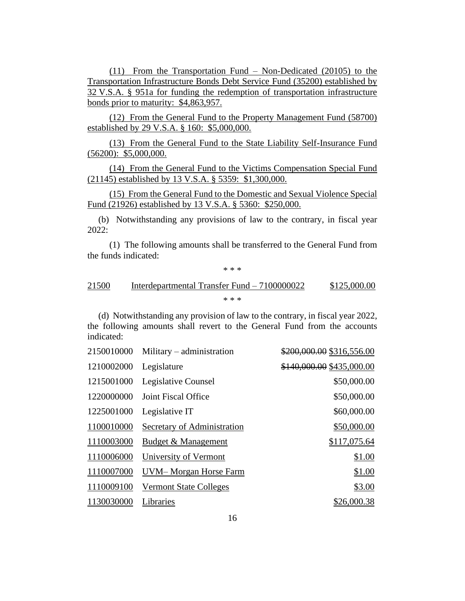(11) From the Transportation Fund – Non-Dedicated (20105) to the Transportation Infrastructure Bonds Debt Service Fund (35200) established by 32 V.S.A. § 951a for funding the redemption of transportation infrastructure bonds prior to maturity: \$4,863,957.

(12) From the General Fund to the Property Management Fund (58700) established by 29 V.S.A. § 160: \$5,000,000.

(13) From the General Fund to the State Liability Self-Insurance Fund (56200): \$5,000,000.

(14) From the General Fund to the Victims Compensation Special Fund (21145) established by 13 V.S.A. § 5359: \$1,300,000.

(15) From the General Fund to the Domestic and Sexual Violence Special Fund (21926) established by 13 V.S.A. § 5360: \$250,000.

(b) Notwithstanding any provisions of law to the contrary, in fiscal year 2022:

(1) The following amounts shall be transferred to the General Fund from the funds indicated:

\* \* \*

#### 21500 Interdepartmental Transfer Fund – 7100000022 \$125,000.00 \* \* \*

(d) Notwithstanding any provision of law to the contrary, in fiscal year 2022, the following amounts shall revert to the General Fund from the accounts indicated:

|            | 2150010000 Military – administration | \$200,000.00 \$316,556.00 |
|------------|--------------------------------------|---------------------------|
| 1210002000 | Legislature                          | \$140,000.00 \$435,000.00 |
| 1215001000 | Legislative Counsel                  | \$50,000.00               |
| 1220000000 | Joint Fiscal Office                  | \$50,000.00               |
| 1225001000 | Legislative IT                       | \$60,000.00               |
| 1100010000 | Secretary of Administration          | \$50,000.00               |
| 1110003000 | Budget & Management                  | \$117,075.64              |
| 1110006000 | University of Vermont                | \$1.00                    |
| 1110007000 | UVM-Morgan Horse Farm                | \$1.00                    |
| 1110009100 | <b>Vermont State Colleges</b>        | \$3.00                    |
| 1130030000 | Libraries                            | \$26,000.38               |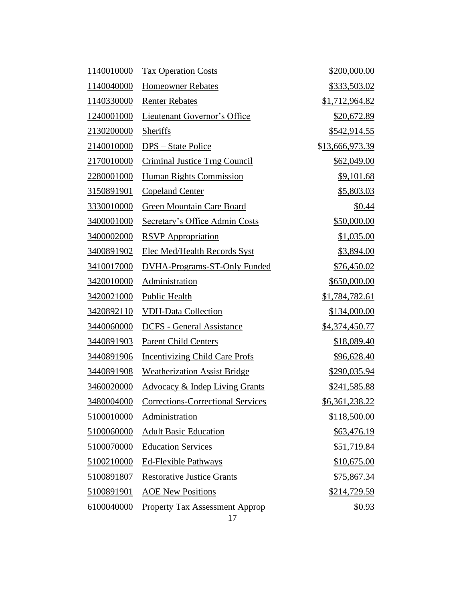| 1140010000 | <b>Tax Operation Costs</b>                | \$200,000.00          |
|------------|-------------------------------------------|-----------------------|
| 1140040000 | <b>Homeowner Rebates</b>                  | <u>\$333,503.02</u>   |
| 1140330000 | <b>Renter Rebates</b>                     | \$1,712,964.82        |
| 1240001000 | Lieutenant Governor's Office              | \$20,672.89           |
| 2130200000 | Sheriffs                                  | \$542,914.55          |
| 2140010000 | DPS – State Police                        | \$13,666,973.39       |
| 2170010000 | <b>Criminal Justice Trng Council</b>      | \$62,049.00           |
| 2280001000 | <b>Human Rights Commission</b>            | \$9,101.68            |
| 3150891901 | <b>Copeland Center</b>                    | \$5,803.03            |
| 3330010000 | Green Mountain Care Board                 | \$0.44                |
| 3400001000 | Secretary's Office Admin Costs            | \$50,000.00           |
| 3400002000 | <b>RSVP</b> Appropriation                 | \$1,035.00            |
| 3400891902 | <b>Elec Med/Health Records Syst</b>       | \$3,894.00            |
| 3410017000 | <b>DVHA-Programs-ST-Only Funded</b>       | \$76,450.02           |
| 3420010000 | Administration                            | \$650,000.00          |
| 3420021000 | Public Health                             | \$1,784,782.61        |
| 3420892110 | <b>VDH-Data Collection</b>                | \$134,000.00          |
| 3440060000 | <b>DCFS</b> - General Assistance          | <u>\$4,374,450.77</u> |
| 3440891903 | <b>Parent Child Centers</b>               | \$18,089.40           |
| 3440891906 | <b>Incentivizing Child Care Profs</b>     | \$96,628.40           |
| 3440891908 | <b>Weatherization Assist Bridge</b>       | \$290,035.94          |
| 3460020000 | <b>Advocacy &amp; Indep Living Grants</b> | <u>\$241,585.88</u>   |
| 3480004000 | <b>Corrections-Correctional Services</b>  | \$6,361,238.22        |
| 5100010000 | Administration                            | \$118,500.00          |
| 5100060000 | <b>Adult Basic Education</b>              | \$63,476.19           |
| 5100070000 | <b>Education Services</b>                 | \$51,719.84           |
| 5100210000 | Ed-Flexible Pathways                      | \$10,675.00           |
| 5100891807 | <b>Restorative Justice Grants</b>         | \$75,867.34           |
| 5100891901 | <b>AOE New Positions</b>                  | \$214,729.59          |
| 6100040000 | <b>Property Tax Assessment Approp</b>     | <u>\$0.93</u>         |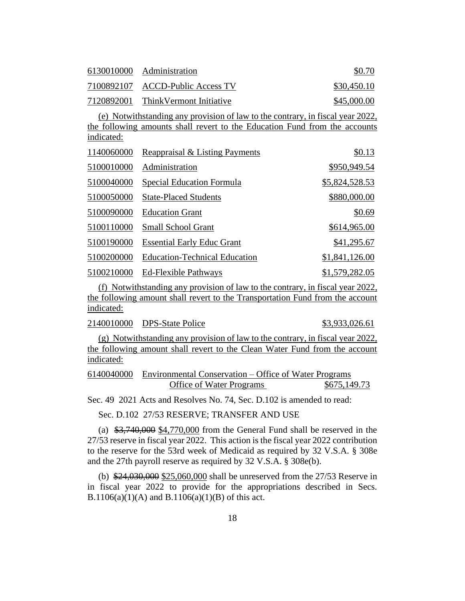| 6130010000 Administration | \$0.70                             |             |
|---------------------------|------------------------------------|-------------|
|                           | 7100892107 ACCD-Public Access TV   | \$30,450.10 |
|                           | 7120892001 ThinkVermont Initiative | \$45,000.00 |

(e) Notwithstanding any provision of law to the contrary, in fiscal year 2022, the following amounts shall revert to the Education Fund from the accounts indicated:

| 1140060000 | Reappraisal & Listing Payments       | \$0.13         |
|------------|--------------------------------------|----------------|
| 5100010000 | Administration                       | \$950,949.54   |
| 5100040000 | Special Education Formula            | \$5,824,528.53 |
| 5100050000 | <b>State-Placed Students</b>         | \$880,000.00   |
| 5100090000 | <b>Education Grant</b>               | \$0.69         |
| 5100110000 | <b>Small School Grant</b>            | \$614,965.00   |
| 5100190000 | <b>Essential Early Educ Grant</b>    | \$41,295.67    |
| 5100200000 | <b>Education-Technical Education</b> | \$1,841,126.00 |
| 5100210000 | <b>Ed-Flexible Pathways</b>          | \$1,579,282.05 |

(f) Notwithstanding any provision of law to the contrary, in fiscal year 2022, the following amount shall revert to the Transportation Fund from the account indicated:

2140010000 DPS-State Police \$3,933,026.61

(g) Notwithstanding any provision of law to the contrary, in fiscal year 2022, the following amount shall revert to the Clean Water Fund from the account indicated:

| 6140040000 Environmental Conservation – Office of Water Programs |              |
|------------------------------------------------------------------|--------------|
| <b>Office of Water Programs</b>                                  | \$675,149.73 |

Sec. 49 2021 Acts and Resolves No. 74, Sec. D.102 is amended to read:

Sec. D.102 27/53 RESERVE; TRANSFER AND USE

(a) \$3,740,000 \$4,770,000 from the General Fund shall be reserved in the 27/53 reserve in fiscal year 2022. This action is the fiscal year 2022 contribution to the reserve for the 53rd week of Medicaid as required by 32 V.S.A. § 308e and the 27th payroll reserve as required by 32 V.S.A. § 308e(b).

(b) \$24,030,000 \$25,060,000 shall be unreserved from the 27/53 Reserve in in fiscal year 2022 to provide for the appropriations described in Secs. B.1106(a)(1)(A) and B.1106(a)(1)(B) of this act.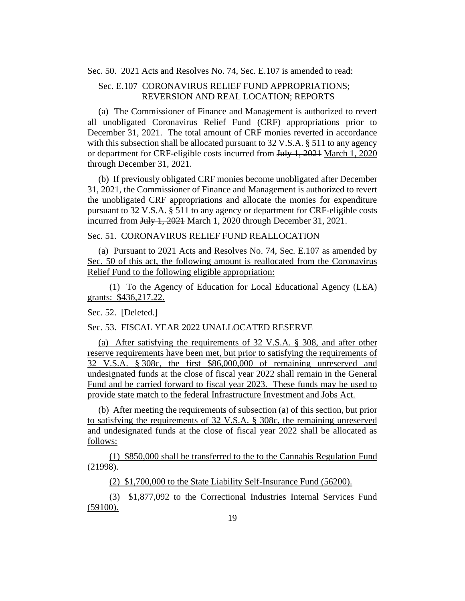Sec. 50. 2021 Acts and Resolves No. 74, Sec. E.107 is amended to read:

#### Sec. E.107 CORONAVIRUS RELIEF FUND APPROPRIATIONS; REVERSION AND REAL LOCATION; REPORTS

(a) The Commissioner of Finance and Management is authorized to revert all unobligated Coronavirus Relief Fund (CRF) appropriations prior to December 31, 2021. The total amount of CRF monies reverted in accordance with this subsection shall be allocated pursuant to 32 V.S.A. § 511 to any agency or department for CRF-eligible costs incurred from July 1, 2021 March 1, 2020 through December 31, 2021.

(b) If previously obligated CRF monies become unobligated after December 31, 2021, the Commissioner of Finance and Management is authorized to revert the unobligated CRF appropriations and allocate the monies for expenditure pursuant to 32 V.S.A. § 511 to any agency or department for CRF-eligible costs incurred from July 1, 2021 March 1, 2020 through December 31, 2021.

Sec. 51. CORONAVIRUS RELIEF FUND REALLOCATION

(a) Pursuant to 2021 Acts and Resolves No. 74, Sec. E.107 as amended by Sec. 50 of this act, the following amount is reallocated from the Coronavirus Relief Fund to the following eligible appropriation:

(1) To the Agency of Education for Local Educational Agency (LEA) grants: \$436,217.22.

Sec. 52. [Deleted.]

#### Sec. 53. FISCAL YEAR 2022 UNALLOCATED RESERVE

(a) After satisfying the requirements of 32 V.S.A. § 308, and after other reserve requirements have been met, but prior to satisfying the requirements of 32 V.S.A. § 308c, the first \$86,000,000 of remaining unreserved and undesignated funds at the close of fiscal year 2022 shall remain in the General Fund and be carried forward to fiscal year 2023. These funds may be used to provide state match to the federal Infrastructure Investment and Jobs Act.

(b) After meeting the requirements of subsection (a) of this section, but prior to satisfying the requirements of 32 V.S.A. § 308c, the remaining unreserved and undesignated funds at the close of fiscal year 2022 shall be allocated as follows:

(1) \$850,000 shall be transferred to the to the Cannabis Regulation Fund (21998).

(2) \$1,700,000 to the State Liability Self-Insurance Fund (56200).

(3) \$1,877,092 to the Correctional Industries Internal Services Fund (59100).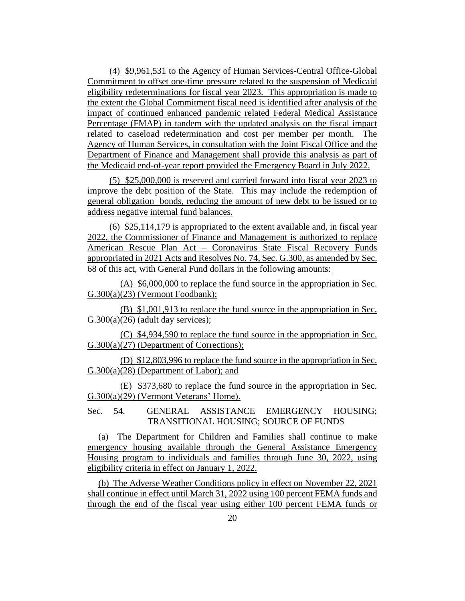(4) \$9,961,531 to the Agency of Human Services-Central Office-Global Commitment to offset one-time pressure related to the suspension of Medicaid eligibility redeterminations for fiscal year 2023. This appropriation is made to the extent the Global Commitment fiscal need is identified after analysis of the impact of continued enhanced pandemic related Federal Medical Assistance Percentage (FMAP) in tandem with the updated analysis on the fiscal impact related to caseload redetermination and cost per member per month. The Agency of Human Services, in consultation with the Joint Fiscal Office and the Department of Finance and Management shall provide this analysis as part of the Medicaid end-of-year report provided the Emergency Board in July 2022.

(5) \$25,000,000 is reserved and carried forward into fiscal year 2023 to improve the debt position of the State. This may include the redemption of general obligation bonds, reducing the amount of new debt to be issued or to address negative internal fund balances.

(6) \$25,114,179 is appropriated to the extent available and, in fiscal year 2022, the Commissioner of Finance and Management is authorized to replace American Rescue Plan Act – Coronavirus State Fiscal Recovery Funds appropriated in 2021 Acts and Resolves No. 74, Sec. G.300, as amended by Sec. 68 of this act, with General Fund dollars in the following amounts:

(A) \$6,000,000 to replace the fund source in the appropriation in Sec. G.300(a)(23) (Vermont Foodbank);

(B) \$1,001,913 to replace the fund source in the appropriation in Sec.  $G.300(a)(26)$  (adult day services);

(C) \$4,934,590 to replace the fund source in the appropriation in Sec. G.300(a)(27) (Department of Corrections);

(D) \$12,803,996 to replace the fund source in the appropriation in Sec. G.300(a)(28) (Department of Labor); and

(E) \$373,680 to replace the fund source in the appropriation in Sec. G.300(a)(29) (Vermont Veterans' Home).

Sec. 54. GENERAL ASSISTANCE EMERGENCY HOUSING; TRANSITIONAL HOUSING; SOURCE OF FUNDS

(a) The Department for Children and Families shall continue to make emergency housing available through the General Assistance Emergency Housing program to individuals and families through June 30, 2022, using eligibility criteria in effect on January 1, 2022.

(b) The Adverse Weather Conditions policy in effect on November 22, 2021 shall continue in effect until March 31, 2022 using 100 percent FEMA funds and through the end of the fiscal year using either 100 percent FEMA funds or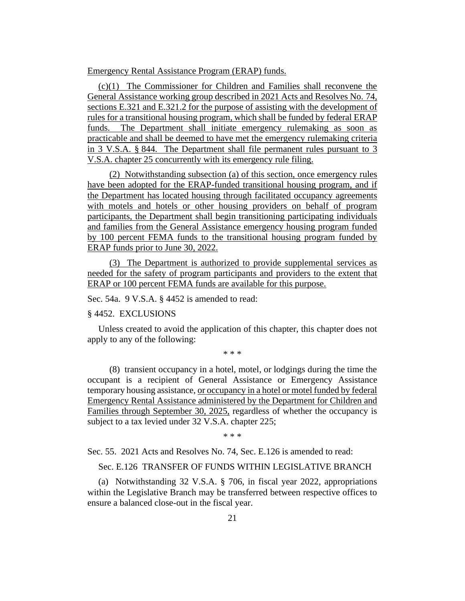Emergency Rental Assistance Program (ERAP) funds.

(c)(1) The Commissioner for Children and Families shall reconvene the General Assistance working group described in 2021 Acts and Resolves No. 74, sections E.321 and E.321.2 for the purpose of assisting with the development of rules for a transitional housing program, which shall be funded by federal ERAP funds. The Department shall initiate emergency rulemaking as soon as practicable and shall be deemed to have met the emergency rulemaking criteria in 3 V.S.A. § 844. The Department shall file permanent rules pursuant to 3 V.S.A. chapter 25 concurrently with its emergency rule filing.

(2) Notwithstanding subsection (a) of this section, once emergency rules have been adopted for the ERAP-funded transitional housing program, and if the Department has located housing through facilitated occupancy agreements with motels and hotels or other housing providers on behalf of program participants, the Department shall begin transitioning participating individuals and families from the General Assistance emergency housing program funded by 100 percent FEMA funds to the transitional housing program funded by ERAP funds prior to June 30, 2022.

(3) The Department is authorized to provide supplemental services as needed for the safety of program participants and providers to the extent that ERAP or 100 percent FEMA funds are available for this purpose.

Sec. 54a. 9 V.S.A. § 4452 is amended to read:

#### § 4452. EXCLUSIONS

Unless created to avoid the application of this chapter, this chapter does not apply to any of the following:

\* \* \*

(8) transient occupancy in a hotel, motel, or lodgings during the time the occupant is a recipient of General Assistance or Emergency Assistance temporary housing assistance, or occupancy in a hotel or motel funded by federal Emergency Rental Assistance administered by the Department for Children and Families through September 30, 2025, regardless of whether the occupancy is subject to a tax levied under 32 V.S.A. chapter 225;

\* \* \*

Sec. 55. 2021 Acts and Resolves No. 74, Sec. E.126 is amended to read:

Sec. E.126 TRANSFER OF FUNDS WITHIN LEGISLATIVE BRANCH

(a) Notwithstanding 32 V.S.A. § 706, in fiscal year 2022, appropriations within the Legislative Branch may be transferred between respective offices to ensure a balanced close-out in the fiscal year.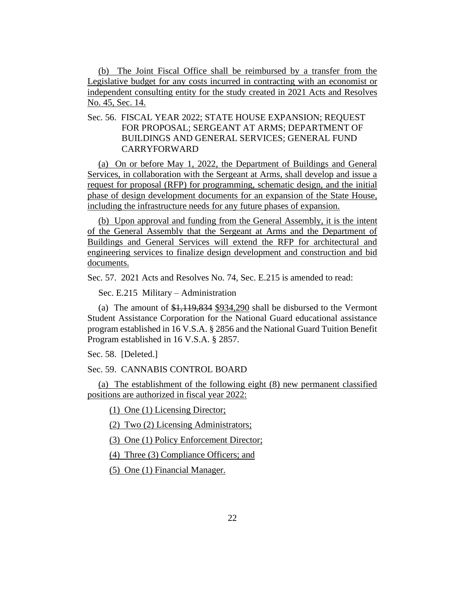(b) The Joint Fiscal Office shall be reimbursed by a transfer from the Legislative budget for any costs incurred in contracting with an economist or independent consulting entity for the study created in 2021 Acts and Resolves No. 45, Sec. 14.

#### Sec. 56. FISCAL YEAR 2022; STATE HOUSE EXPANSION; REQUEST FOR PROPOSAL; SERGEANT AT ARMS; DEPARTMENT OF BUILDINGS AND GENERAL SERVICES; GENERAL FUND CARRYFORWARD

(a) On or before May 1, 2022, the Department of Buildings and General Services, in collaboration with the Sergeant at Arms, shall develop and issue a request for proposal (RFP) for programming, schematic design, and the initial phase of design development documents for an expansion of the State House, including the infrastructure needs for any future phases of expansion.

(b) Upon approval and funding from the General Assembly, it is the intent of the General Assembly that the Sergeant at Arms and the Department of Buildings and General Services will extend the RFP for architectural and engineering services to finalize design development and construction and bid documents.

Sec. 57. 2021 Acts and Resolves No. 74, Sec. E.215 is amended to read:

Sec. E.215 Military – Administration

(a) The amount of \$1,119,834 \$934,290 shall be disbursed to the Vermont Student Assistance Corporation for the National Guard educational assistance program established in 16 V.S.A. § 2856 and the National Guard Tuition Benefit Program established in 16 V.S.A. § 2857.

Sec. 58. [Deleted.]

Sec. 59. CANNABIS CONTROL BOARD

(a) The establishment of the following eight (8) new permanent classified positions are authorized in fiscal year 2022:

(1) One (1) Licensing Director;

(2) Two (2) Licensing Administrators;

(3) One (1) Policy Enforcement Director;

(4) Three (3) Compliance Officers; and

(5) One (1) Financial Manager.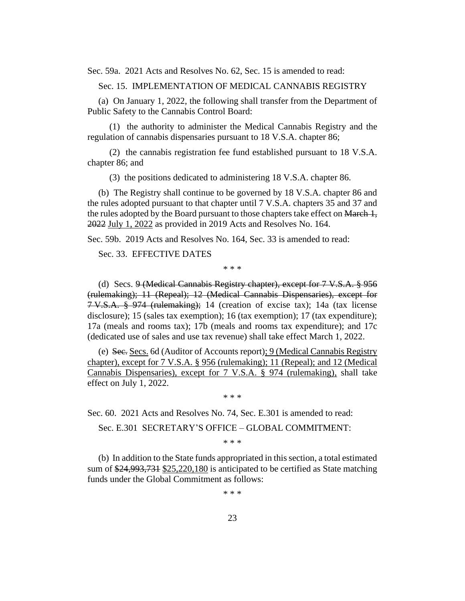Sec. 59a. 2021 Acts and Resolves No. 62, Sec. 15 is amended to read:

Sec. 15. IMPLEMENTATION OF MEDICAL CANNABIS REGISTRY

(a) On January 1, 2022, the following shall transfer from the Department of Public Safety to the Cannabis Control Board:

(1) the authority to administer the Medical Cannabis Registry and the regulation of cannabis dispensaries pursuant to 18 V.S.A. chapter 86;

(2) the cannabis registration fee fund established pursuant to 18 V.S.A. chapter 86; and

(3) the positions dedicated to administering 18 V.S.A. chapter 86.

(b) The Registry shall continue to be governed by 18 V.S.A. chapter 86 and the rules adopted pursuant to that chapter until 7 V.S.A. chapters 35 and 37 and the rules adopted by the Board pursuant to those chapters take effect on March 1, 2022 July 1, 2022 as provided in 2019 Acts and Resolves No. 164.

Sec. 59b. 2019 Acts and Resolves No. 164, Sec. 33 is amended to read:

Sec. 33. EFFECTIVE DATES

\* \* \*

(d) Secs. 9 (Medical Cannabis Registry chapter), except for 7 V.S.A. § 956 (rulemaking); 11 (Repeal); 12 (Medical Cannabis Dispensaries), except for 7 V.S.A. § 974 (rulemaking); 14 (creation of excise tax); 14a (tax license disclosure); 15 (sales tax exemption); 16 (tax exemption); 17 (tax expenditure); 17a (meals and rooms tax); 17b (meals and rooms tax expenditure); and 17c (dedicated use of sales and use tax revenue) shall take effect March 1, 2022.

(e) Sec. Secs. 6d (Auditor of Accounts report); 9 (Medical Cannabis Registry chapter), except for 7 V.S.A. § 956 (rulemaking); 11 (Repeal); and 12 (Medical Cannabis Dispensaries), except for 7 V.S.A. § 974 (rulemaking), shall take effect on July 1, 2022.

\* \* \*

Sec. 60. 2021 Acts and Resolves No. 74, Sec. E.301 is amended to read:

Sec. E.301 SECRETARY'S OFFICE – GLOBAL COMMITMENT:

\* \* \*

(b) In addition to the State funds appropriated in this section, a total estimated sum of \$24,993,731 \$25,220,180 is anticipated to be certified as State matching funds under the Global Commitment as follows:

\* \* \*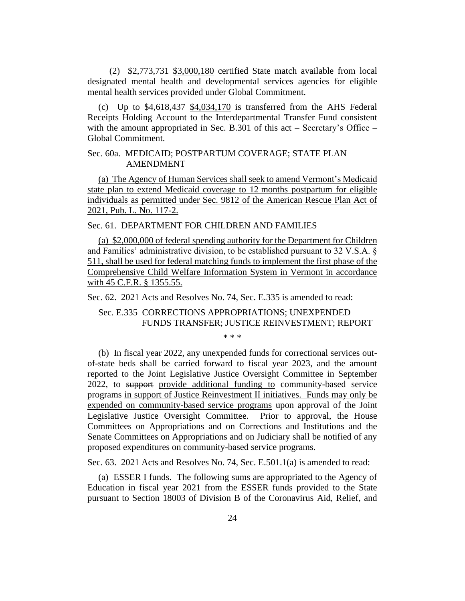(2) \$2,773,731 \$3,000,180 certified State match available from local designated mental health and developmental services agencies for eligible mental health services provided under Global Commitment.

(c) Up to  $\frac{4,618,437}{4,034,170}$  is transferred from the AHS Federal Receipts Holding Account to the Interdepartmental Transfer Fund consistent with the amount appropriated in Sec. B.301 of this act – Secretary's Office – Global Commitment.

#### Sec. 60a. MEDICAID; POSTPARTUM COVERAGE; STATE PLAN AMENDMENT

(a) The Agency of Human Services shall seek to amend Vermont's Medicaid state plan to extend Medicaid coverage to 12 months postpartum for eligible individuals as permitted under Sec. 9812 of the American Rescue Plan Act of 2021, Pub. L. No. 117-2.

Sec. 61. DEPARTMENT FOR CHILDREN AND FAMILIES

(a) \$2,000,000 of federal spending authority for the Department for Children and Families' administrative division, to be established pursuant to 32 V.S.A. § 511, shall be used for federal matching funds to implement the first phase of the Comprehensive Child Welfare Information System in Vermont in accordance with 45 C.F.R. § 1355.55.

Sec. 62. 2021 Acts and Resolves No. 74, Sec. E.335 is amended to read:

#### Sec. E.335 CORRECTIONS APPROPRIATIONS; UNEXPENDED FUNDS TRANSFER; JUSTICE REINVESTMENT; REPORT

\* \* \*

(b) In fiscal year 2022, any unexpended funds for correctional services outof-state beds shall be carried forward to fiscal year 2023, and the amount reported to the Joint Legislative Justice Oversight Committee in September 2022, to support provide additional funding to community-based service programs in support of Justice Reinvestment II initiatives. Funds may only be expended on community-based service programs upon approval of the Joint Legislative Justice Oversight Committee. Prior to approval, the House Committees on Appropriations and on Corrections and Institutions and the Senate Committees on Appropriations and on Judiciary shall be notified of any proposed expenditures on community-based service programs.

Sec. 63. 2021 Acts and Resolves No. 74, Sec. E.501.1(a) is amended to read:

(a) ESSER I funds. The following sums are appropriated to the Agency of Education in fiscal year 2021 from the ESSER funds provided to the State pursuant to Section 18003 of Division B of the Coronavirus Aid, Relief, and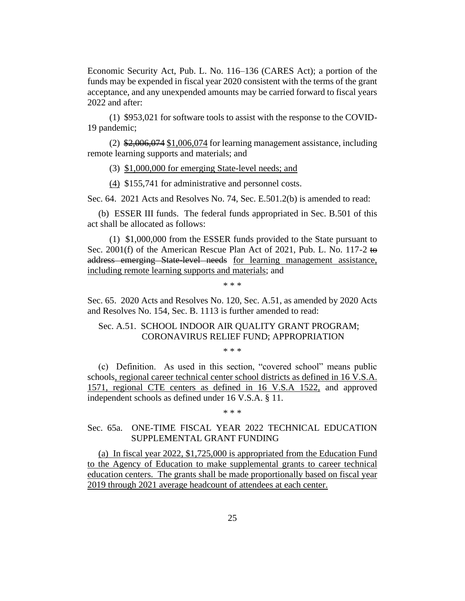Economic Security Act, Pub. L. No. 116–136 (CARES Act); a portion of the funds may be expended in fiscal year 2020 consistent with the terms of the grant acceptance, and any unexpended amounts may be carried forward to fiscal years 2022 and after:

(1) \$953,021 for software tools to assist with the response to the COVID-19 pandemic;

 $(2)$  \$2,006,074 \$1,006,074 for learning management assistance, including remote learning supports and materials; and

(3) \$1,000,000 for emerging State-level needs; and

(4) \$155,741 for administrative and personnel costs.

Sec. 64. 2021 Acts and Resolves No. 74, Sec. E.501.2(b) is amended to read:

(b) ESSER III funds. The federal funds appropriated in Sec. B.501 of this act shall be allocated as follows:

(1) \$1,000,000 from the ESSER funds provided to the State pursuant to Sec. 2001(f) of the American Rescue Plan Act of 2021, Pub. L. No. 117-2 to address emerging State-level needs for learning management assistance, including remote learning supports and materials; and

\* \* \*

Sec. 65. 2020 Acts and Resolves No. 120, Sec. A.51, as amended by 2020 Acts and Resolves No. 154, Sec. B. 1113 is further amended to read:

Sec. A.51. SCHOOL INDOOR AIR QUALITY GRANT PROGRAM; CORONAVIRUS RELIEF FUND; APPROPRIATION

\* \* \*

(c) Definition. As used in this section, "covered school" means public schools, regional career technical center school districts as defined in 16 V.S.A. 1571, regional CTE centers as defined in 16 V.S.A 1522, and approved independent schools as defined under 16 V.S.A. § 11.

\* \* \*

#### Sec. 65a. ONE-TIME FISCAL YEAR 2022 TECHNICAL EDUCATION SUPPLEMENTAL GRANT FUNDING

(a) In fiscal year 2022, \$1,725,000 is appropriated from the Education Fund to the Agency of Education to make supplemental grants to career technical education centers. The grants shall be made proportionally based on fiscal year 2019 through 2021 average headcount of attendees at each center.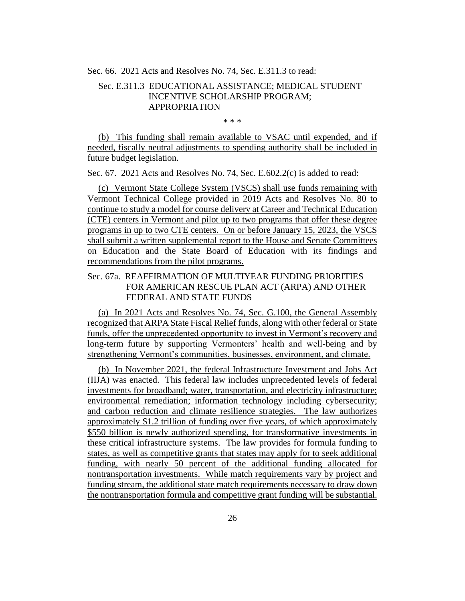Sec. 66. 2021 Acts and Resolves No. 74, Sec. E.311.3 to read:

#### Sec. E.311.3 EDUCATIONAL ASSISTANCE; MEDICAL STUDENT INCENTIVE SCHOLARSHIP PROGRAM; APPROPRIATION

\* \* \*

(b) This funding shall remain available to VSAC until expended, and if needed, fiscally neutral adjustments to spending authority shall be included in future budget legislation.

Sec. 67. 2021 Acts and Resolves No. 74, Sec. E.602.2(c) is added to read:

(c) Vermont State College System (VSCS) shall use funds remaining with Vermont Technical College provided in 2019 Acts and Resolves No. 80 to continue to study a model for course delivery at Career and Technical Education (CTE) centers in Vermont and pilot up to two programs that offer these degree programs in up to two CTE centers. On or before January 15, 2023, the VSCS shall submit a written supplemental report to the House and Senate Committees on Education and the State Board of Education with its findings and recommendations from the pilot programs.

#### Sec. 67a. REAFFIRMATION OF MULTIYEAR FUNDING PRIORITIES FOR AMERICAN RESCUE PLAN ACT (ARPA) AND OTHER FEDERAL AND STATE FUNDS

(a) In 2021 Acts and Resolves No. 74, Sec. G.100, the General Assembly recognized that ARPA State Fiscal Relief funds, along with other federal or State funds, offer the unprecedented opportunity to invest in Vermont's recovery and long-term future by supporting Vermonters' health and well-being and by strengthening Vermont's communities, businesses, environment, and climate.

(b) In November 2021, the federal Infrastructure Investment and Jobs Act (IIJA) was enacted. This federal law includes unprecedented levels of federal investments for broadband; water, transportation, and electricity infrastructure; environmental remediation; information technology including cybersecurity; and carbon reduction and climate resilience strategies. The law authorizes approximately \$1.2 trillion of funding over five years, of which approximately \$550 billion is newly authorized spending, for transformative investments in these critical infrastructure systems. The law provides for formula funding to states, as well as competitive grants that states may apply for to seek additional funding, with nearly 50 percent of the additional funding allocated for nontransportation investments. While match requirements vary by project and funding stream, the additional state match requirements necessary to draw down the nontransportation formula and competitive grant funding will be substantial.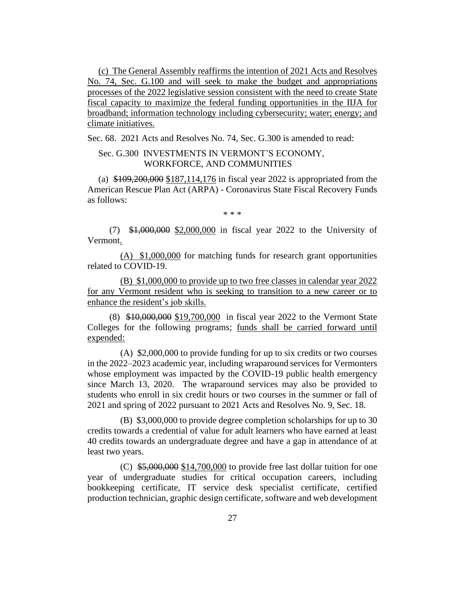(c) The General Assembly reaffirms the intention of 2021 Acts and Resolves No. 74, Sec. G.100 and will seek to make the budget and appropriations processes of the 2022 legislative session consistent with the need to create State fiscal capacity to maximize the federal funding opportunities in the IIJA for broadband; information technology including cybersecurity; water; energy; and climate initiatives.

Sec. 68. 2021 Acts and Resolves No. 74, Sec. G.300 is amended to read:

#### Sec. G.300 INVESTMENTS IN VERMONT'S ECONOMY, WORKFORCE, AND COMMUNITIES

(a) \$109,200,000 \$187,114,176 in fiscal year 2022 is appropriated from the American Rescue Plan Act (ARPA) - Coronavirus State Fiscal Recovery Funds as follows:

\* \* \*

(7) \$1,000,000 \$2,000,000 in fiscal year 2022 to the University of Vermont.

(A) \$1,000,000 for matching funds for research grant opportunities related to COVID-19.

(B) \$1,000,000 to provide up to two free classes in calendar year 2022 for any Vermont resident who is seeking to transition to a new career or to enhance the resident's job skills.

(8) \$10,000,000 \$19,700,000 in fiscal year 2022 to the Vermont State Colleges for the following programs; funds shall be carried forward until expended:

(A) \$2,000,000 to provide funding for up to six credits or two courses in the 2022–2023 academic year, including wraparound services for Vermonters whose employment was impacted by the COVID-19 public health emergency since March 13, 2020. The wraparound services may also be provided to students who enroll in six credit hours or two courses in the summer or fall of 2021 and spring of 2022 pursuant to 2021 Acts and Resolves No. 9, Sec. 18.

(B) \$3,000,000 to provide degree completion scholarships for up to 30 credits towards a credential of value for adult learners who have earned at least 40 credits towards an undergraduate degree and have a gap in attendance of at least two years.

(C)  $$5,000,000$  \$14,700,000 to provide free last dollar tuition for one year of undergraduate studies for critical occupation careers, including bookkeeping certificate, IT service desk specialist certificate, certified production technician, graphic design certificate, software and web development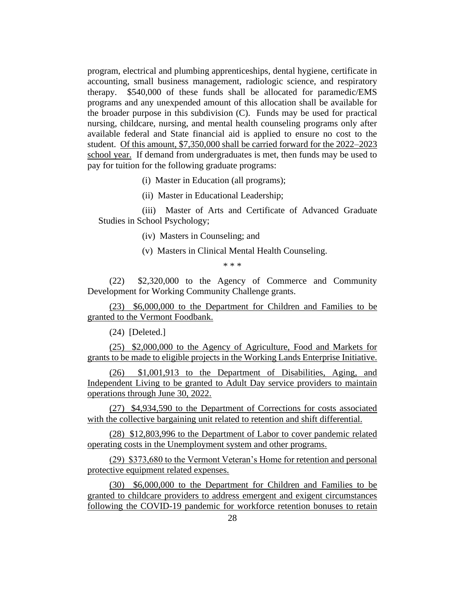program, electrical and plumbing apprenticeships, dental hygiene, certificate in accounting, small business management, radiologic science, and respiratory therapy. \$540,000 of these funds shall be allocated for paramedic/EMS programs and any unexpended amount of this allocation shall be available for the broader purpose in this subdivision (C). Funds may be used for practical nursing, childcare, nursing, and mental health counseling programs only after available federal and State financial aid is applied to ensure no cost to the student. Of this amount, \$7,350,000 shall be carried forward for the 2022–2023 school year. If demand from undergraduates is met, then funds may be used to pay for tuition for the following graduate programs:

(i) Master in Education (all programs);

(ii) Master in Educational Leadership;

(iii) Master of Arts and Certificate of Advanced Graduate Studies in School Psychology;

(iv) Masters in Counseling; and

(v) Masters in Clinical Mental Health Counseling.

\* \* \*

(22) \$2,320,000 to the Agency of Commerce and Community Development for Working Community Challenge grants.

(23) \$6,000,000 to the Department for Children and Families to be granted to the Vermont Foodbank.

(24) [Deleted.]

(25) \$2,000,000 to the Agency of Agriculture, Food and Markets for grants to be made to eligible projects in the Working Lands Enterprise Initiative.

(26) \$1,001,913 to the Department of Disabilities, Aging, and Independent Living to be granted to Adult Day service providers to maintain operations through June 30, 2022.

(27) \$4,934,590 to the Department of Corrections for costs associated with the collective bargaining unit related to retention and shift differential.

(28) \$12,803,996 to the Department of Labor to cover pandemic related operating costs in the Unemployment system and other programs.

(29) \$373,680 to the Vermont Veteran's Home for retention and personal protective equipment related expenses.

(30) \$6,000,000 to the Department for Children and Families to be granted to childcare providers to address emergent and exigent circumstances following the COVID-19 pandemic for workforce retention bonuses to retain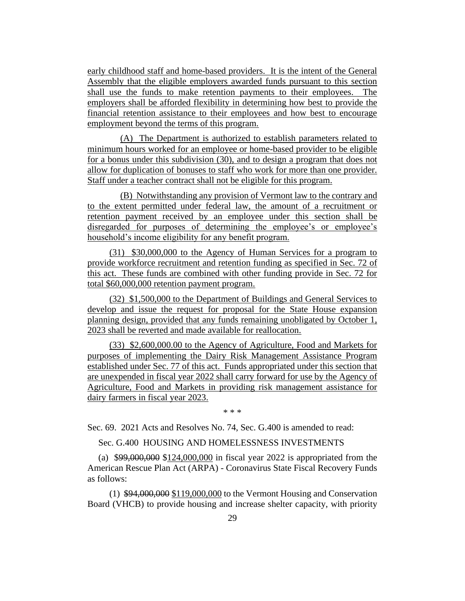early childhood staff and home-based providers. It is the intent of the General Assembly that the eligible employers awarded funds pursuant to this section shall use the funds to make retention payments to their employees. The employers shall be afforded flexibility in determining how best to provide the financial retention assistance to their employees and how best to encourage employment beyond the terms of this program.

(A) The Department is authorized to establish parameters related to minimum hours worked for an employee or home-based provider to be eligible for a bonus under this subdivision (30), and to design a program that does not allow for duplication of bonuses to staff who work for more than one provider. Staff under a teacher contract shall not be eligible for this program.

(B) Notwithstanding any provision of Vermont law to the contrary and to the extent permitted under federal law, the amount of a recruitment or retention payment received by an employee under this section shall be disregarded for purposes of determining the employee's or employee's household's income eligibility for any benefit program.

(31) \$30,000,000 to the Agency of Human Services for a program to provide workforce recruitment and retention funding as specified in Sec. 72 of this act. These funds are combined with other funding provide in Sec. 72 for total \$60,000,000 retention payment program.

(32) \$1,500,000 to the Department of Buildings and General Services to develop and issue the request for proposal for the State House expansion planning design, provided that any funds remaining unobligated by October 1, 2023 shall be reverted and made available for reallocation.

(33) \$2,600,000.00 to the Agency of Agriculture, Food and Markets for purposes of implementing the Dairy Risk Management Assistance Program established under Sec. 77 of this act. Funds appropriated under this section that are unexpended in fiscal year 2022 shall carry forward for use by the Agency of Agriculture, Food and Markets in providing risk management assistance for dairy farmers in fiscal year 2023.

\* \* \*

Sec. 69. 2021 Acts and Resolves No. 74, Sec. G.400 is amended to read:

Sec. G.400 HOUSING AND HOMELESSNESS INVESTMENTS

(a) \$99,000,000 \$124,000,000 in fiscal year 2022 is appropriated from the American Rescue Plan Act (ARPA) - Coronavirus State Fiscal Recovery Funds as follows:

(1) \$94,000,000 \$119,000,000 to the Vermont Housing and Conservation Board (VHCB) to provide housing and increase shelter capacity, with priority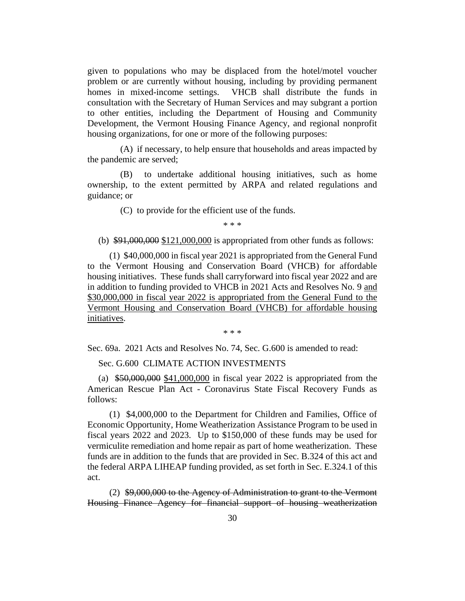given to populations who may be displaced from the hotel/motel voucher problem or are currently without housing, including by providing permanent homes in mixed-income settings. VHCB shall distribute the funds in consultation with the Secretary of Human Services and may subgrant a portion to other entities, including the Department of Housing and Community Development, the Vermont Housing Finance Agency, and regional nonprofit housing organizations, for one or more of the following purposes:

(A) if necessary, to help ensure that households and areas impacted by the pandemic are served;

(B) to undertake additional housing initiatives, such as home ownership, to the extent permitted by ARPA and related regulations and guidance; or

(C) to provide for the efficient use of the funds.

\* \* \*

(b)  $$91,000,000 $121,000,000$  is appropriated from other funds as follows:

(1) \$40,000,000 in fiscal year 2021 is appropriated from the General Fund to the Vermont Housing and Conservation Board (VHCB) for affordable housing initiatives. These funds shall carryforward into fiscal year 2022 and are in addition to funding provided to VHCB in 2021 Acts and Resolves No. 9 and \$30,000,000 in fiscal year 2022 is appropriated from the General Fund to the Vermont Housing and Conservation Board (VHCB) for affordable housing initiatives.

\* \* \*

Sec. 69a. 2021 Acts and Resolves No. 74, Sec. G.600 is amended to read:

Sec. G.600 CLIMATE ACTION INVESTMENTS

(a) \$50,000,000 \$41,000,000 in fiscal year 2022 is appropriated from the American Rescue Plan Act - Coronavirus State Fiscal Recovery Funds as follows:

(1) \$4,000,000 to the Department for Children and Families, Office of Economic Opportunity, Home Weatherization Assistance Program to be used in fiscal years 2022 and 2023. Up to \$150,000 of these funds may be used for vermiculite remediation and home repair as part of home weatherization. These funds are in addition to the funds that are provided in Sec. B.324 of this act and the federal ARPA LIHEAP funding provided, as set forth in Sec. E.324.1 of this act.

(2) \$9,000,000 to the Agency of Administration to grant to the Vermont Housing Finance Agency for financial support of housing weatherization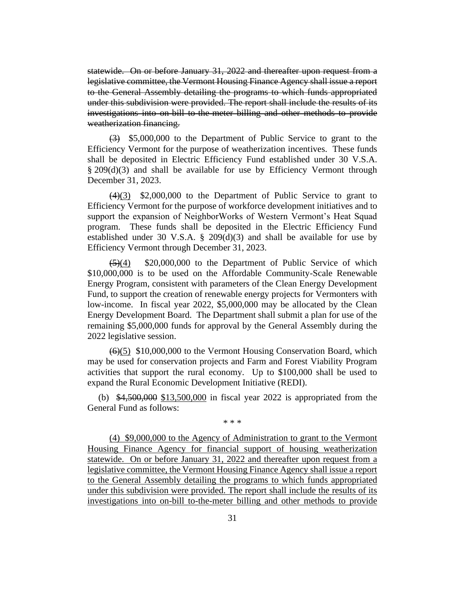statewide. On or before January 31, 2022 and thereafter upon request from a legislative committee, the Vermont Housing Finance Agency shall issue a report to the General Assembly detailing the programs to which funds appropriated under this subdivision were provided. The report shall include the results of its investigations into on-bill to-the-meter billing and other methods to provide weatherization financing.

 $\left(\frac{3}{2}\right)$  \$5,000,000 to the Department of Public Service to grant to the Efficiency Vermont for the purpose of weatherization incentives. These funds shall be deposited in Electric Efficiency Fund established under 30 V.S.A. § 209(d)(3) and shall be available for use by Efficiency Vermont through December 31, 2023.

 $(4)(3)$  \$2,000,000 to the Department of Public Service to grant to Efficiency Vermont for the purpose of workforce development initiatives and to support the expansion of NeighborWorks of Western Vermont's Heat Squad program. These funds shall be deposited in the Electric Efficiency Fund established under 30 V.S.A. § 209(d)(3) and shall be available for use by Efficiency Vermont through December 31, 2023.

 $\left(\frac{5}{4}\right)$  \$20,000,000 to the Department of Public Service of which \$10,000,000 is to be used on the Affordable Community-Scale Renewable Energy Program, consistent with parameters of the Clean Energy Development Fund, to support the creation of renewable energy projects for Vermonters with low-income. In fiscal year 2022, \$5,000,000 may be allocated by the Clean Energy Development Board. The Department shall submit a plan for use of the remaining \$5,000,000 funds for approval by the General Assembly during the 2022 legislative session.

(6)(5) \$10,000,000 to the Vermont Housing Conservation Board, which may be used for conservation projects and Farm and Forest Viability Program activities that support the rural economy. Up to \$100,000 shall be used to expand the Rural Economic Development Initiative (REDI).

(b) \$4,500,000 \$13,500,000 in fiscal year 2022 is appropriated from the General Fund as follows:

\* \* \*

(4) \$9,000,000 to the Agency of Administration to grant to the Vermont Housing Finance Agency for financial support of housing weatherization statewide. On or before January 31, 2022 and thereafter upon request from a legislative committee, the Vermont Housing Finance Agency shall issue a report to the General Assembly detailing the programs to which funds appropriated under this subdivision were provided. The report shall include the results of its investigations into on-bill to-the-meter billing and other methods to provide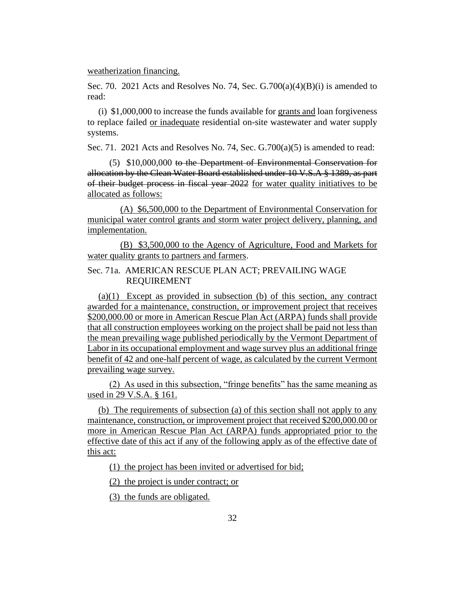weatherization financing.

Sec. 70. 2021 Acts and Resolves No. 74, Sec.  $G.700(a)(4)(B)(i)$  is amended to read:

(i) \$1,000,000 to increase the funds available for grants and loan forgiveness to replace failed or inadequate residential on-site wastewater and water supply systems.

Sec. 71. 2021 Acts and Resolves No. 74, Sec.  $G.700(a)(5)$  is amended to read:

(5) \$10,000,000 to the Department of Environmental Conservation for allocation by the Clean Water Board established under 10 V.S.A § 1389, as part of their budget process in fiscal year 2022 for water quality initiatives to be allocated as follows:

(A) \$6,500,000 to the Department of Environmental Conservation for municipal water control grants and storm water project delivery, planning, and implementation.

(B) \$3,500,000 to the Agency of Agriculture, Food and Markets for water quality grants to partners and farmers.

#### Sec. 71a. AMERICAN RESCUE PLAN ACT; PREVAILING WAGE REQUIREMENT

(a)(1) Except as provided in subsection (b) of this section, any contract awarded for a maintenance, construction, or improvement project that receives \$200,000.00 or more in American Rescue Plan Act (ARPA) funds shall provide that all construction employees working on the project shall be paid not less than the mean prevailing wage published periodically by the Vermont Department of Labor in its occupational employment and wage survey plus an additional fringe benefit of 42 and one-half percent of wage, as calculated by the current Vermont prevailing wage survey.

(2) As used in this subsection, "fringe benefits" has the same meaning as used in 29 V.S.A. § 161.

(b) The requirements of subsection (a) of this section shall not apply to any maintenance, construction, or improvement project that received \$200,000.00 or more in American Rescue Plan Act (ARPA) funds appropriated prior to the effective date of this act if any of the following apply as of the effective date of this act:

(1) the project has been invited or advertised for bid;

(2) the project is under contract; or

(3) the funds are obligated.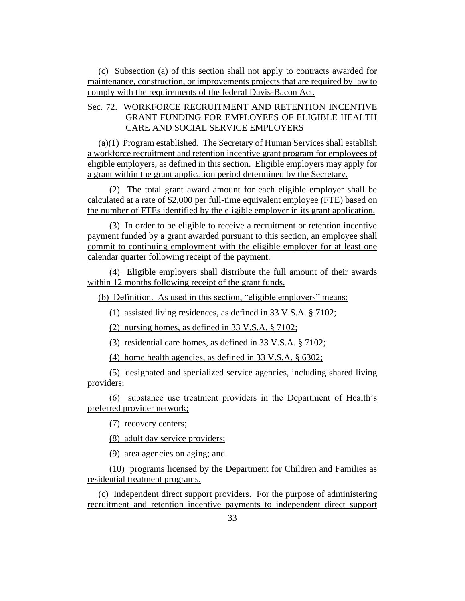(c) Subsection (a) of this section shall not apply to contracts awarded for maintenance, construction, or improvements projects that are required by law to comply with the requirements of the federal Davis-Bacon Act.

#### Sec. 72. WORKFORCE RECRUITMENT AND RETENTION INCENTIVE GRANT FUNDING FOR EMPLOYEES OF ELIGIBLE HEALTH CARE AND SOCIAL SERVICE EMPLOYERS

(a)(1) Program established. The Secretary of Human Services shall establish a workforce recruitment and retention incentive grant program for employees of eligible employers, as defined in this section. Eligible employers may apply for a grant within the grant application period determined by the Secretary.

(2) The total grant award amount for each eligible employer shall be calculated at a rate of \$2,000 per full-time equivalent employee (FTE) based on the number of FTEs identified by the eligible employer in its grant application.

(3) In order to be eligible to receive a recruitment or retention incentive payment funded by a grant awarded pursuant to this section, an employee shall commit to continuing employment with the eligible employer for at least one calendar quarter following receipt of the payment.

(4) Eligible employers shall distribute the full amount of their awards within 12 months following receipt of the grant funds.

(b) Definition. As used in this section, "eligible employers" means:

(1) assisted living residences, as defined in 33 V.S.A. § 7102;

(2) nursing homes, as defined in 33 V.S.A. § 7102;

(3) residential care homes, as defined in 33 V.S.A. § 7102;

(4) home health agencies, as defined in 33 V.S.A. § 6302;

(5) designated and specialized service agencies, including shared living providers;

(6) substance use treatment providers in the Department of Health's preferred provider network;

(7) recovery centers;

(8) adult day service providers;

(9) area agencies on aging; and

(10) programs licensed by the Department for Children and Families as residential treatment programs.

(c) Independent direct support providers. For the purpose of administering recruitment and retention incentive payments to independent direct support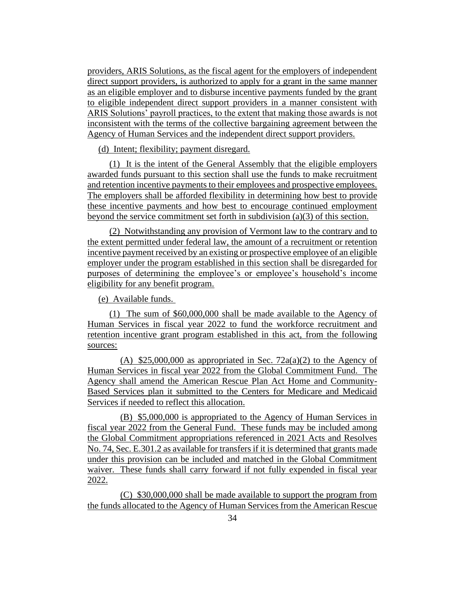providers, ARIS Solutions, as the fiscal agent for the employers of independent direct support providers, is authorized to apply for a grant in the same manner as an eligible employer and to disburse incentive payments funded by the grant to eligible independent direct support providers in a manner consistent with ARIS Solutions' payroll practices, to the extent that making those awards is not inconsistent with the terms of the collective bargaining agreement between the Agency of Human Services and the independent direct support providers.

(d) Intent; flexibility; payment disregard.

(1) It is the intent of the General Assembly that the eligible employers awarded funds pursuant to this section shall use the funds to make recruitment and retention incentive payments to their employees and prospective employees. The employers shall be afforded flexibility in determining how best to provide these incentive payments and how best to encourage continued employment beyond the service commitment set forth in subdivision (a)(3) of this section.

(2) Notwithstanding any provision of Vermont law to the contrary and to the extent permitted under federal law, the amount of a recruitment or retention incentive payment received by an existing or prospective employee of an eligible employer under the program established in this section shall be disregarded for purposes of determining the employee's or employee's household's income eligibility for any benefit program.

(e) Available funds.

(1) The sum of \$60,000,000 shall be made available to the Agency of Human Services in fiscal year 2022 to fund the workforce recruitment and retention incentive grant program established in this act, from the following sources:

(A)  $$25,000,000$  as appropriated in Sec. 72a(a)(2) to the Agency of Human Services in fiscal year 2022 from the Global Commitment Fund. The Agency shall amend the American Rescue Plan Act Home and Community-Based Services plan it submitted to the Centers for Medicare and Medicaid Services if needed to reflect this allocation.

(B) \$5,000,000 is appropriated to the Agency of Human Services in fiscal year 2022 from the General Fund. These funds may be included among the Global Commitment appropriations referenced in 2021 Acts and Resolves No. 74, Sec. E.301.2 as available for transfers if it is determined that grants made under this provision can be included and matched in the Global Commitment waiver. These funds shall carry forward if not fully expended in fiscal year 2022.

(C) \$30,000,000 shall be made available to support the program from the funds allocated to the Agency of Human Services from the American Rescue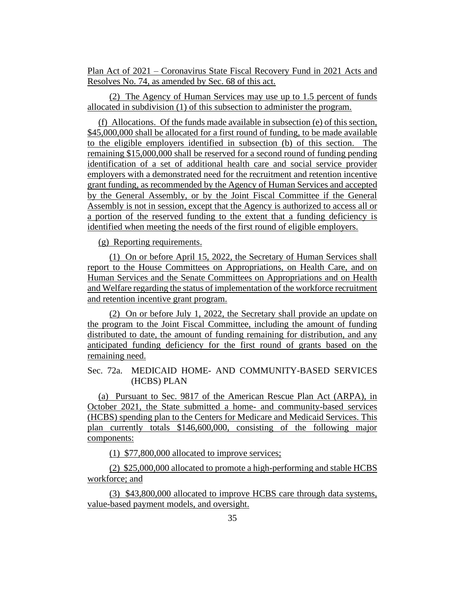Plan Act of 2021 – Coronavirus State Fiscal Recovery Fund in 2021 Acts and Resolves No. 74, as amended by Sec. 68 of this act.

(2) The Agency of Human Services may use up to 1.5 percent of funds allocated in subdivision (1) of this subsection to administer the program.

(f) Allocations. Of the funds made available in subsection (e) of this section, \$45,000,000 shall be allocated for a first round of funding, to be made available to the eligible employers identified in subsection (b) of this section. The remaining \$15,000,000 shall be reserved for a second round of funding pending identification of a set of additional health care and social service provider employers with a demonstrated need for the recruitment and retention incentive grant funding, as recommended by the Agency of Human Services and accepted by the General Assembly, or by the Joint Fiscal Committee if the General Assembly is not in session, except that the Agency is authorized to access all or a portion of the reserved funding to the extent that a funding deficiency is identified when meeting the needs of the first round of eligible employers.

(g) Reporting requirements.

(1) On or before April 15, 2022, the Secretary of Human Services shall report to the House Committees on Appropriations, on Health Care, and on Human Services and the Senate Committees on Appropriations and on Health and Welfare regarding the status of implementation of the workforce recruitment and retention incentive grant program.

(2) On or before July 1, 2022, the Secretary shall provide an update on the program to the Joint Fiscal Committee, including the amount of funding distributed to date, the amount of funding remaining for distribution, and any anticipated funding deficiency for the first round of grants based on the remaining need.

Sec. 72a. MEDICAID HOME- AND COMMUNITY-BASED SERVICES (HCBS) PLAN

(a) Pursuant to Sec. 9817 of the American Rescue Plan Act (ARPA), in October 2021, the State submitted a home- and community-based services (HCBS) spending plan to the Centers for Medicare and Medicaid Services. This plan currently totals \$146,600,000, consisting of the following major components:

(1) \$77,800,000 allocated to improve services;

(2) \$25,000,000 allocated to promote a high-performing and stable HCBS workforce; and

(3) \$43,800,000 allocated to improve HCBS care through data systems, value-based payment models, and oversight.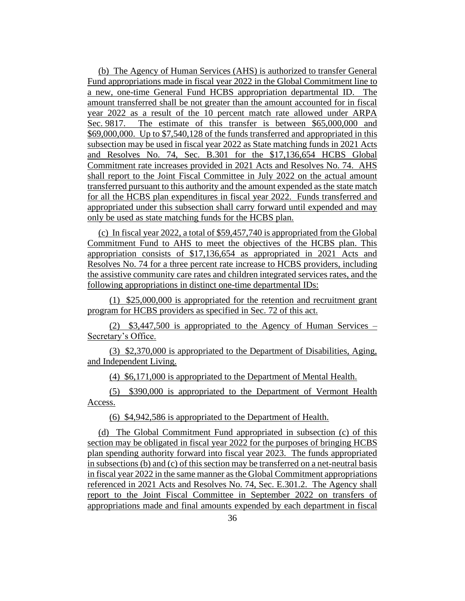(b) The Agency of Human Services (AHS) is authorized to transfer General Fund appropriations made in fiscal year 2022 in the Global Commitment line to a new, one-time General Fund HCBS appropriation departmental ID. The amount transferred shall be not greater than the amount accounted for in fiscal year 2022 as a result of the 10 percent match rate allowed under ARPA Sec. 9817. The estimate of this transfer is between \$65,000,000 and \$69,000,000. Up to \$7,540,128 of the funds transferred and appropriated in this subsection may be used in fiscal year 2022 as State matching funds in 2021 Acts and Resolves No. 74, Sec. B.301 for the \$17,136,654 HCBS Global Commitment rate increases provided in 2021 Acts and Resolves No. 74. AHS shall report to the Joint Fiscal Committee in July 2022 on the actual amount transferred pursuant to this authority and the amount expended as the state match for all the HCBS plan expenditures in fiscal year 2022. Funds transferred and appropriated under this subsection shall carry forward until expended and may only be used as state matching funds for the HCBS plan.

(c) In fiscal year 2022, a total of \$59,457,740 is appropriated from the Global Commitment Fund to AHS to meet the objectives of the HCBS plan. This appropriation consists of \$17,136,654 as appropriated in 2021 Acts and Resolves No. 74 for a three percent rate increase to HCBS providers, including the assistive community care rates and children integrated services rates, and the following appropriations in distinct one-time departmental IDs:

(1) \$25,000,000 is appropriated for the retention and recruitment grant program for HCBS providers as specified in Sec. 72 of this act.

(2) \$3,447,500 is appropriated to the Agency of Human Services – Secretary's Office.

(3) \$2,370,000 is appropriated to the Department of Disabilities, Aging, and Independent Living.

(4) \$6,171,000 is appropriated to the Department of Mental Health.

(5) \$390,000 is appropriated to the Department of Vermont Health Access.

(6) \$4,942,586 is appropriated to the Department of Health.

(d) The Global Commitment Fund appropriated in subsection (c) of this section may be obligated in fiscal year 2022 for the purposes of bringing HCBS plan spending authority forward into fiscal year 2023. The funds appropriated in subsections (b) and (c) of this section may be transferred on a net-neutral basis in fiscal year 2022 in the same manner as the Global Commitment appropriations referenced in 2021 Acts and Resolves No. 74, Sec. E.301.2. The Agency shall report to the Joint Fiscal Committee in September 2022 on transfers of appropriations made and final amounts expended by each department in fiscal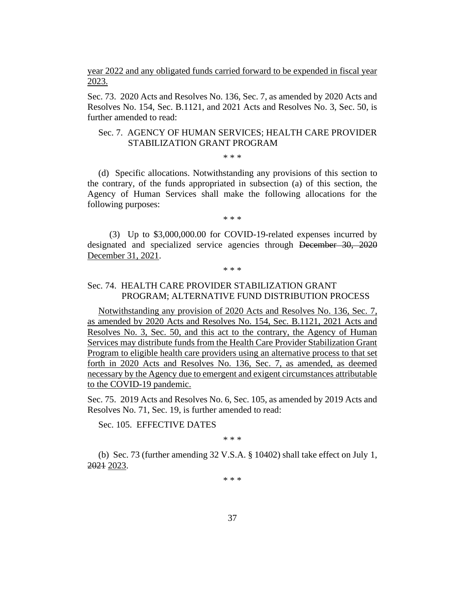year 2022 and any obligated funds carried forward to be expended in fiscal year 2023.

Sec. 73. 2020 Acts and Resolves No. 136, Sec. 7, as amended by 2020 Acts and Resolves No. 154, Sec. B.1121, and 2021 Acts and Resolves No. 3, Sec. 50, is further amended to read:

#### Sec. 7. AGENCY OF HUMAN SERVICES; HEALTH CARE PROVIDER STABILIZATION GRANT PROGRAM

#### \* \* \*

(d) Specific allocations. Notwithstanding any provisions of this section to the contrary, of the funds appropriated in subsection (a) of this section, the Agency of Human Services shall make the following allocations for the following purposes:

\* \* \*

(3) Up to \$3,000,000.00 for COVID-19-related expenses incurred by designated and specialized service agencies through December 30, 2020 December 31, 2021.

#### \* \* \*

#### Sec. 74. HEALTH CARE PROVIDER STABILIZATION GRANT PROGRAM; ALTERNATIVE FUND DISTRIBUTION PROCESS

Notwithstanding any provision of 2020 Acts and Resolves No. 136, Sec. 7, as amended by 2020 Acts and Resolves No. 154, Sec. B.1121, 2021 Acts and Resolves No. 3, Sec. 50, and this act to the contrary, the Agency of Human Services may distribute funds from the Health Care Provider Stabilization Grant Program to eligible health care providers using an alternative process to that set forth in 2020 Acts and Resolves No. 136, Sec. 7, as amended, as deemed necessary by the Agency due to emergent and exigent circumstances attributable to the COVID-19 pandemic.

Sec. 75. 2019 Acts and Resolves No. 6, Sec. 105, as amended by 2019 Acts and Resolves No. 71, Sec. 19, is further amended to read:

Sec. 105. EFFECTIVE DATES

\* \* \*

(b) Sec. 73 (further amending 32 V.S.A. § 10402) shall take effect on July 1, 2021 2023.

\* \* \*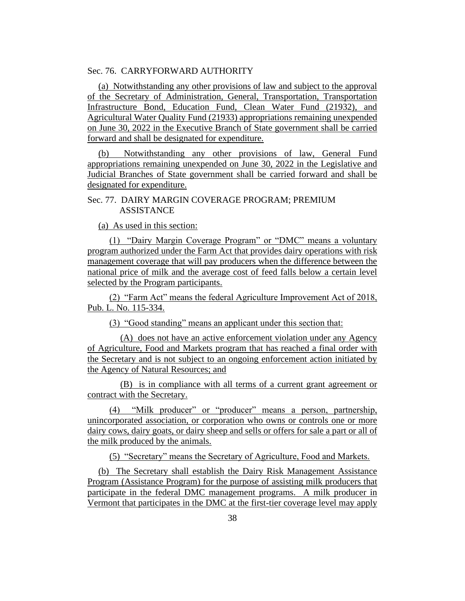#### Sec. 76. CARRYFORWARD AUTHORITY

(a) Notwithstanding any other provisions of law and subject to the approval of the Secretary of Administration, General, Transportation, Transportation Infrastructure Bond, Education Fund, Clean Water Fund (21932), and Agricultural Water Quality Fund (21933) appropriations remaining unexpended on June 30, 2022 in the Executive Branch of State government shall be carried forward and shall be designated for expenditure.

(b) Notwithstanding any other provisions of law, General Fund appropriations remaining unexpended on June 30, 2022 in the Legislative and Judicial Branches of State government shall be carried forward and shall be designated for expenditure.

#### Sec. 77. DAIRY MARGIN COVERAGE PROGRAM; PREMIUM **ASSISTANCE**

(a) As used in this section:

(1) "Dairy Margin Coverage Program" or "DMC" means a voluntary program authorized under the Farm Act that provides dairy operations with risk management coverage that will pay producers when the difference between the national price of milk and the average cost of feed falls below a certain level selected by the Program participants.

(2) "Farm Act" means the federal Agriculture Improvement Act of 2018, Pub. L. No. 115-334.

(3) "Good standing" means an applicant under this section that:

(A) does not have an active enforcement violation under any Agency of Agriculture, Food and Markets program that has reached a final order with the Secretary and is not subject to an ongoing enforcement action initiated by the Agency of Natural Resources; and

(B) is in compliance with all terms of a current grant agreement or contract with the Secretary.

(4) "Milk producer" or "producer" means a person, partnership, unincorporated association, or corporation who owns or controls one or more dairy cows, dairy goats, or dairy sheep and sells or offers for sale a part or all of the milk produced by the animals.

(5) "Secretary" means the Secretary of Agriculture, Food and Markets.

(b) The Secretary shall establish the Dairy Risk Management Assistance Program (Assistance Program) for the purpose of assisting milk producers that participate in the federal DMC management programs. A milk producer in Vermont that participates in the DMC at the first-tier coverage level may apply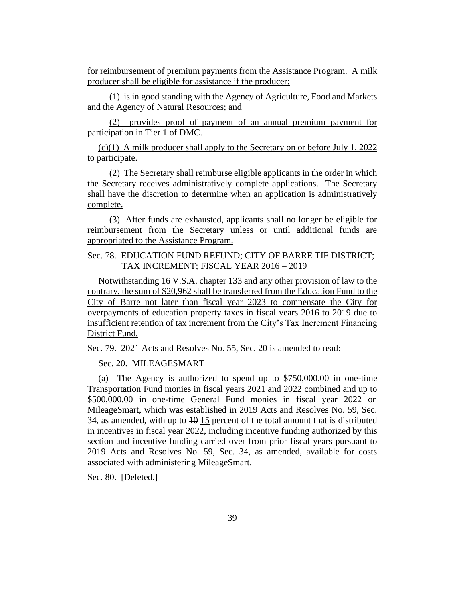for reimbursement of premium payments from the Assistance Program. A milk producer shall be eligible for assistance if the producer:

(1) is in good standing with the Agency of Agriculture, Food and Markets and the Agency of Natural Resources; and

(2) provides proof of payment of an annual premium payment for participation in Tier 1 of DMC.

(c)(1) A milk producer shall apply to the Secretary on or before July 1, 2022 to participate.

(2) The Secretary shall reimburse eligible applicants in the order in which the Secretary receives administratively complete applications. The Secretary shall have the discretion to determine when an application is administratively complete.

(3) After funds are exhausted, applicants shall no longer be eligible for reimbursement from the Secretary unless or until additional funds are appropriated to the Assistance Program.

Sec. 78. EDUCATION FUND REFUND; CITY OF BARRE TIF DISTRICT; TAX INCREMENT; FISCAL YEAR 2016 – 2019

Notwithstanding 16 V.S.A. chapter 133 and any other provision of law to the contrary, the sum of \$20,962 shall be transferred from the Education Fund to the City of Barre not later than fiscal year 2023 to compensate the City for overpayments of education property taxes in fiscal years 2016 to 2019 due to insufficient retention of tax increment from the City's Tax Increment Financing District Fund.

Sec. 79. 2021 Acts and Resolves No. 55, Sec. 20 is amended to read:

Sec. 20. MILEAGESMART

(a) The Agency is authorized to spend up to \$750,000.00 in one-time Transportation Fund monies in fiscal years 2021 and 2022 combined and up to \$500,000.00 in one-time General Fund monies in fiscal year 2022 on MileageSmart, which was established in 2019 Acts and Resolves No. 59, Sec. 34, as amended, with up to  $\overline{10}$  15 percent of the total amount that is distributed in incentives in fiscal year 2022, including incentive funding authorized by this section and incentive funding carried over from prior fiscal years pursuant to 2019 Acts and Resolves No. 59, Sec. 34, as amended, available for costs associated with administering MileageSmart.

Sec. 80. [Deleted.]